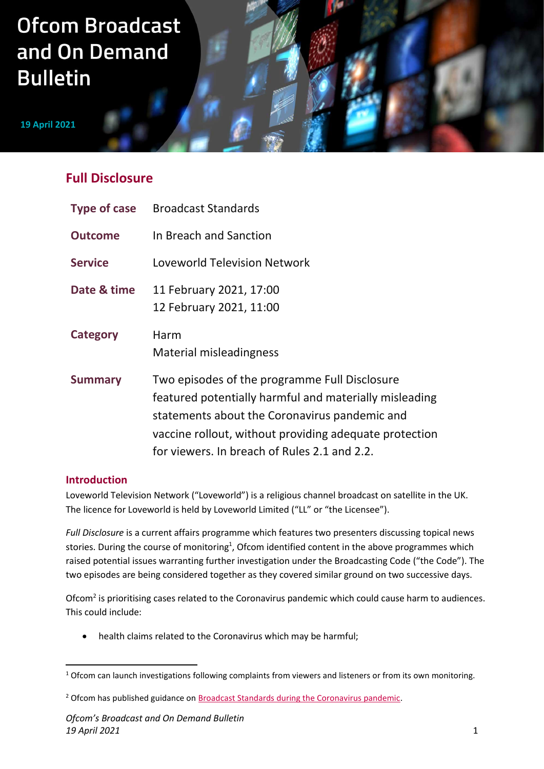# **Ofcom Broadcast** and On Demand **Bulletin**

**19 April 2021**

# **Full Disclosure**

| <b>Type of case</b> | <b>Broadcast Standards</b>                                                                                                                                                                                                                                         |
|---------------------|--------------------------------------------------------------------------------------------------------------------------------------------------------------------------------------------------------------------------------------------------------------------|
| <b>Outcome</b>      | In Breach and Sanction                                                                                                                                                                                                                                             |
| <b>Service</b>      | Loveworld Television Network                                                                                                                                                                                                                                       |
| Date & time         | 11 February 2021, 17:00<br>12 February 2021, 11:00                                                                                                                                                                                                                 |
| Category            | Harm<br>Material misleadingness                                                                                                                                                                                                                                    |
| <b>Summary</b>      | Two episodes of the programme Full Disclosure<br>featured potentially harmful and materially misleading<br>statements about the Coronavirus pandemic and<br>vaccine rollout, without providing adequate protection<br>for viewers. In breach of Rules 2.1 and 2.2. |

# **Introduction**

Loveworld Television Network ("Loveworld") is a religious channel broadcast on satellite in the UK. The licence for Loveworld is held by Loveworld Limited ("LL" or "the Licensee").

*Full Disclosure* is a current affairs programme which features two presenters discussing topical news stories. During the course of monitoring<sup>1</sup>, Ofcom identified content in the above programmes which raised potential issues warranting further investigation under the Broadcasting Code ("the Code"). The two episodes are being considered together as they covered similar ground on two successive days.

Ofcom<sup>2</sup> is prioritising cases related to the Coronavirus pandemic which could cause harm to audiences. This could include:

• health claims related to the Coronavirus which may be harmful;

<sup>&</sup>lt;sup>1</sup> Ofcom can launch investigations following complaints from viewers and listeners or from its own monitoring.

<sup>&</sup>lt;sup>2</sup> Ofcom has published guidance on **Broadcast Standards during the Coronavirus pandemic**.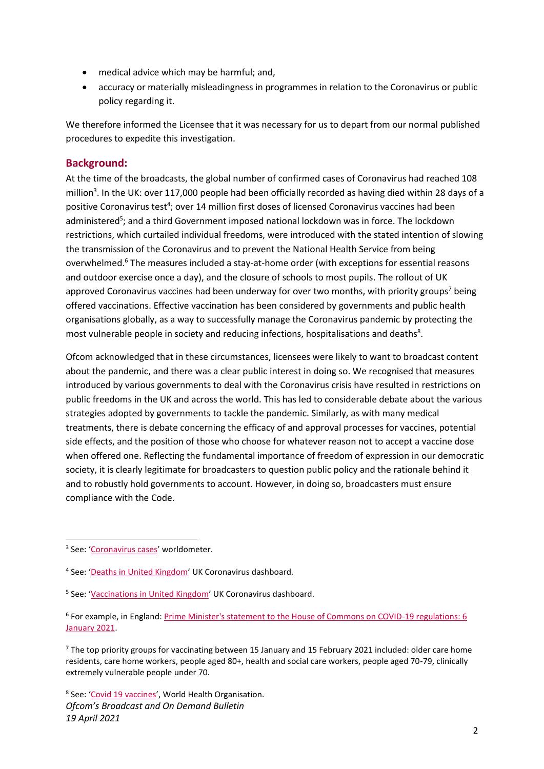- medical advice which may be harmful; and,
- accuracy or materially misleadingness in programmes in relation to the Coronavirus or public policy regarding it.

We therefore informed the Licensee that it was necessary for us to depart from our normal published procedures to expedite this investigation.

# **Background:**

At the time of the broadcasts, the global number of confirmed cases of Coronavirus had reached 108 million<sup>3</sup>. In the UK: over 117,000 people had been officially recorded as having died within 28 days of a positive Coronavirus test<sup>4</sup>; over 14 million first doses of licensed Coronavirus vaccines had been administered<sup>5</sup>; and a third Government imposed national lockdown was in force. The lockdown restrictions, which curtailed individual freedoms, were introduced with the stated intention of slowing the transmission of the Coronavirus and to prevent the National Health Service from being overwhelmed.<sup>6</sup> The measures included a stay-at-home order (with exceptions for essential reasons and outdoor exercise once a day), and the closure of schools to most pupils. The rollout of UK approved Coronavirus vaccines had been underway for over two months, with priority groups<sup>7</sup> being offered vaccinations. Effective vaccination has been considered by governments and public health organisations globally, as a way to successfully manage the Coronavirus pandemic by protecting the most vulnerable people in society and reducing infections, hospitalisations and deaths<sup>8</sup>.

Ofcom acknowledged that in these circumstances, licensees were likely to want to broadcast content about the pandemic, and there was a clear public interest in doing so. We recognised that measures introduced by various governments to deal with the Coronavirus crisis have resulted in restrictions on public freedoms in the UK and across the world. This has led to considerable debate about the various strategies adopted by governments to tackle the pandemic. Similarly, as with many medical treatments, there is debate concerning the efficacy of and approval processes for vaccines, potential side effects, and the position of those who choose for whatever reason not to accept a vaccine dose when offered one. Reflecting the fundamental importance of freedom of expression in our democratic society, it is clearly legitimate for broadcasters to question public policy and the rationale behind it and to robustly hold governments to account. However, in doing so, broadcasters must ensure compliance with the Code.

*Ofcom's Broadcast and On Demand Bulletin 19 April 2021* <sup>8</sup> See: '[Covid 19 vaccines](https://www.who.int/emergencies/diseases/novel-coronavirus-2019/covid-19-vaccines)', World Health Organisation.

<sup>&</sup>lt;sup>3</sup> See: '[Coronavirus cases](https://www.worldometers.info/coronavirus/coronavirus-cases/#total-cases)' worldometer.

<sup>&</sup>lt;sup>4</sup> See: '[Deaths in United Kingdom](https://coronavirus.data.gov.uk/details/deaths)' UK Coronavirus dashboard.

<sup>&</sup>lt;sup>5</sup> See: '[Vaccinations in United Kingdom](https://coronavirus.data.gov.uk/details/vaccinations)' UK Coronavirus dashboard.

<sup>&</sup>lt;sup>6</sup> For example, in England: Prime Minister's statement to the House of Commons on COVID-19 regulations: 6 [January 2021.](https://www.gov.uk/government/speeches/prime-ministers-statement-to-the-house-of-commons-on-covid-19-regulations-6-january-2021)

 $7$  The top priority groups for vaccinating between 15 January and 15 February 2021 included: older care home residents, care home workers, people aged 80+, health and social care workers, people aged 70-79, clinically extremely vulnerable people under 70.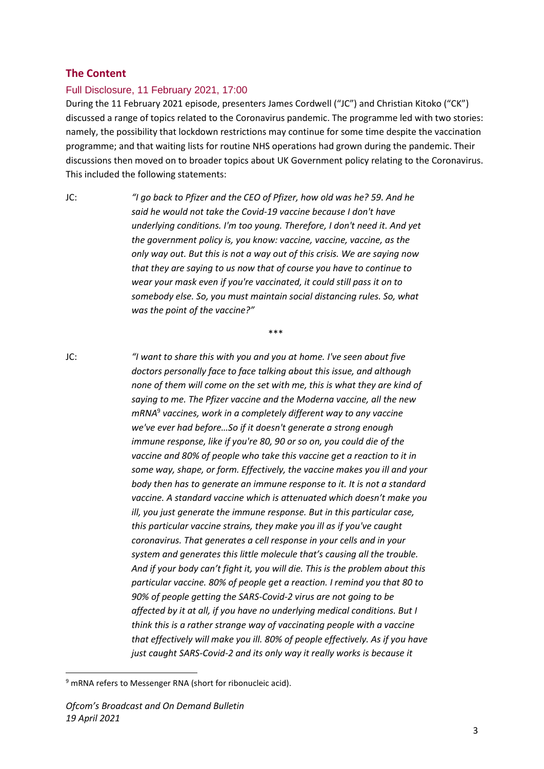#### **The Content**

#### Full Disclosure, 11 February 2021, 17:00

During the 11 February 2021 episode, presenters James Cordwell ("JC") and Christian Kitoko ("CK") discussed a range of topics related to the Coronavirus pandemic. The programme led with two stories: namely, the possibility that lockdown restrictions may continue for some time despite the vaccination programme; and that waiting lists for routine NHS operations had grown during the pandemic. Their discussions then moved on to broader topics about UK Government policy relating to the Coronavirus. This included the following statements:

JC: *"I go back to Pfizer and the CEO of Pfizer, how old was he? 59. And he said he would not take the Covid-19 vaccine because I don't have underlying conditions. I'm too young. Therefore, I don't need it. And yet the government policy is, you know: vaccine, vaccine, vaccine, as the only way out. But this is not a way out of this crisis. We are saying now that they are saying to us now that of course you have to continue to wear your mask even if you're vaccinated, it could still pass it on to somebody else. So, you must maintain social distancing rules. So, what was the point of the vaccine?"*

\*\*\*

JC: *"I want to share this with you and you at home. I've seen about five doctors personally face to face talking about this issue, and although none of them will come on the set with me, this is what they are kind of saying to me. The Pfizer vaccine and the Moderna vaccine, all the new mRNA*<sup>9</sup> *vaccines, work in a completely different way to any vaccine we've ever had before…So if it doesn't generate a strong enough immune response, like if you're 80, 90 or so on, you could die of the vaccine and 80% of people who take this vaccine get a reaction to it in some way, shape, or form. Effectively, the vaccine makes you ill and your body then has to generate an immune response to it. It is not a standard vaccine. A standard vaccine which is attenuated which doesn't make you ill, you just generate the immune response. But in this particular case, this particular vaccine strains, they make you ill as if you've caught coronavirus. That generates a cell response in your cells and in your system and generates this little molecule that's causing all the trouble. And if your body can't fight it, you will die. This is the problem about this particular vaccine. 80% of people get a reaction. I remind you that 80 to 90% of people getting the SARS-Covid-2 virus are not going to be affected by it at all, if you have no underlying medical conditions. But I think this is a rather strange way of vaccinating people with a vaccine that effectively will make you ill. 80% of people effectively. As if you have just caught SARS-Covid-2 and its only way it really works is because it* 

<sup>&</sup>lt;sup>9</sup> mRNA refers to Messenger RNA (short for ribonucleic acid).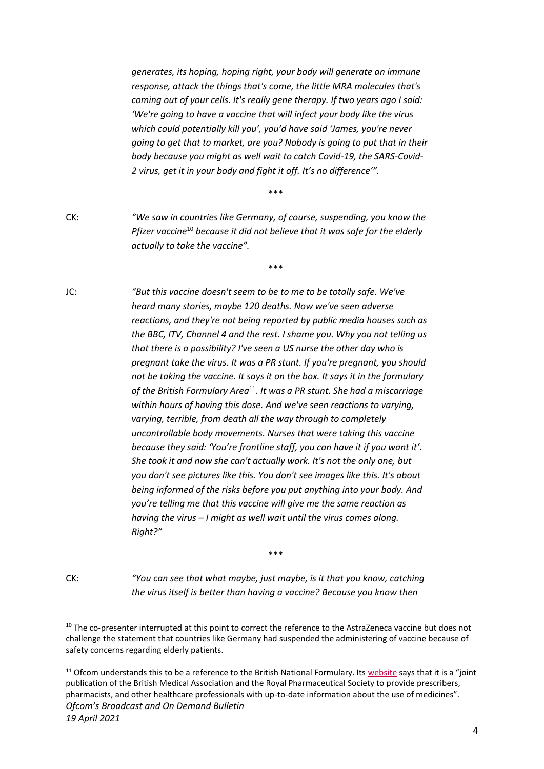*generates, its hoping, hoping right, your body will generate an immune response, attack the things that's come, the little MRA molecules that's coming out of your cells. It's really gene therapy. If two years ago I said: 'We're going to have a vaccine that will infect your body like the virus which could potentially kill you', you'd have said 'James, you're never going to get that to market, are you? Nobody is going to put that in their body because you might as well wait to catch Covid-19, the SARS-Covid-2 virus, get it in your body and fight it off. It's no difference'".*

\*\*\*

CK: *"We saw in countries like Germany, of course, suspending, you know the Pfizer vaccine*<sup>10</sup> *because it did not believe that it was safe for the elderly actually to take the vaccine".*

\*\*\*

JC: *"But this vaccine doesn't seem to be to me to be totally safe. We've heard many stories, maybe 120 deaths. Now we've seen adverse reactions, and they're not being reported by public media houses such as the BBC, ITV, Channel 4 and the rest. I shame you. Why you not telling us that there is a possibility? I've seen a US nurse the other day who is pregnant take the virus. It was a PR stunt. If you're pregnant, you should not be taking the vaccine. It says it on the box. It says it in the formulary of the British Formulary Area*<sup>11</sup>*. It was a PR stunt. She had a miscarriage within hours of having this dose. And we've seen reactions to varying, varying, terrible, from death all the way through to completely uncontrollable body movements. Nurses that were taking this vaccine because they said: 'You're frontline staff, you can have it if you want it'. She took it and now she can't actually work. It's not the only one, but you don't see pictures like this. You don't see images like this. It's about being informed of the risks before you put anything into your body. And you're telling me that this vaccine will give me the same reaction as having the virus – I might as well wait until the virus comes along. Right?"*

CK: *"You can see that what maybe, just maybe, is it that you know, catching the virus itself is better than having a vaccine? Because you know then* 

\*\*\*

*Ofcom's Broadcast and On Demand Bulletin 19 April 2021*  $11$  Ofcom understands this to be a reference to the British National Formulary. It[s website](https://bnf.nice.org.uk/about/preface.html) says that it is a "joint publication of the British Medical Association and the Royal Pharmaceutical Society to provide prescribers, pharmacists, and other healthcare professionals with up-to-date information about the use of medicines".

<sup>&</sup>lt;sup>10</sup> The co-presenter interrupted at this point to correct the reference to the AstraZeneca vaccine but does not challenge the statement that countries like Germany had suspended the administering of vaccine because of safety concerns regarding elderly patients.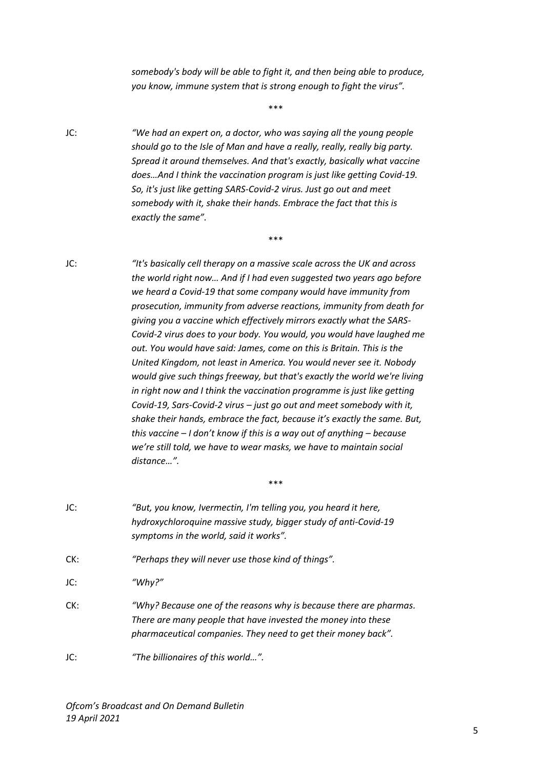*somebody's body will be able to fight it, and then being able to produce, you know, immune system that is strong enough to fight the virus".*

\*\*\*

\*\*\*

- JC: *"We had an expert on, a doctor, who was saying all the young people should go to the Isle of Man and have a really, really, really big party. Spread it around themselves. And that's exactly, basically what vaccine does…And I think the vaccination program is just like getting Covid-19. So, it's just like getting SARS-Covid-2 virus. Just go out and meet somebody with it, shake their hands. Embrace the fact that this is exactly the same".*
- JC: *"It's basically cell therapy on a massive scale across the UK and across the world right now… And if I had even suggested two years ago before we heard a Covid-19 that some company would have immunity from prosecution, immunity from adverse reactions, immunity from death for giving you a vaccine which effectively mirrors exactly what the SARS-Covid-2 virus does to your body. You would, you would have laughed me out. You would have said: James, come on this is Britain. This is the United Kingdom, not least in America. You would never see it. Nobody would give such things freeway, but that's exactly the world we're living in right now and I think the vaccination programme is just like getting Covid-19, Sars-Covid-2 virus – just go out and meet somebody with it, shake their hands, embrace the fact, because it's exactly the same. But, this vaccine – I don't know if this is a way out of anything – because we're still told, we have to wear masks, we have to maintain social distance…".*
- JC: *"But, you know, Ivermectin, I'm telling you, you heard it here, hydroxychloroquine massive study, bigger study of anti-Covid-19 symptoms in the world, said it works".* CK: *"Perhaps they will never use those kind of things".* JC: *"Why?"* CK: *"Why? Because one of the reasons why is because there are pharmas. There are many people that have invested the money into these pharmaceutical companies. They need to get their money back".*  JC: *"The billionaires of this world…".*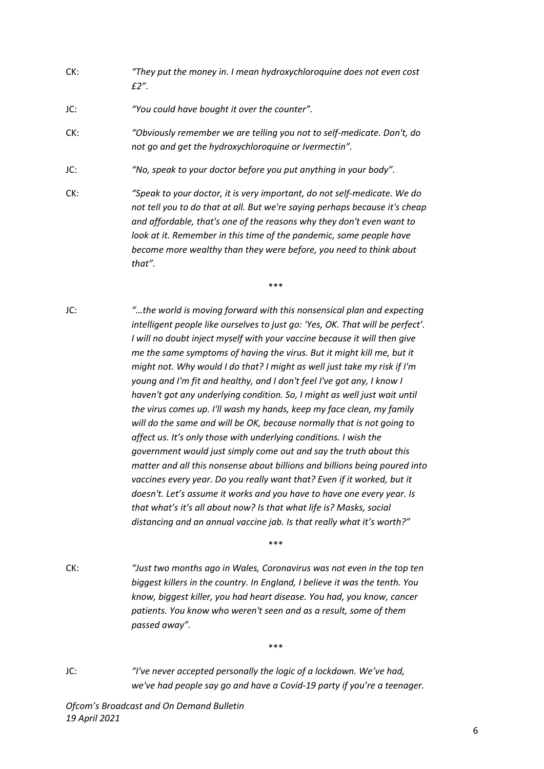- CK: *"They put the money in. I mean hydroxychloroquine does not even cost £2".*
- JC: *"You could have bought it over the counter".*
- CK: *"Obviously remember we are telling you not to self-medicate. Don't, do not go and get the hydroxychloroquine or Ivermectin".*
- JC: *"No, speak to your doctor before you put anything in your body".*
- CK: *"Speak to your doctor, it is very important, do not self-medicate. We do not tell you to do that at all. But we're saying perhaps because it's cheap and affordable, that's one of the reasons why they don't even want to look at it. Remember in this time of the pandemic, some people have become more wealthy than they were before, you need to think about that".*

\*\*\*

JC: *"…the world is moving forward with this nonsensical plan and expecting intelligent people like ourselves to just go: 'Yes, OK. That will be perfect'. I will no doubt inject myself with your vaccine because it will then give me the same symptoms of having the virus. But it might kill me, but it might not. Why would I do that? I might as well just take my risk if I'm young and I'm fit and healthy, and I don't feel I've got any, I know I haven't got any underlying condition. So, I might as well just wait until the virus comes up. I'll wash my hands, keep my face clean, my family will do the same and will be OK, because normally that is not going to affect us. It's only those with underlying conditions. I wish the government would just simply come out and say the truth about this matter and all this nonsense about billions and billions being poured into*  vaccines every year. Do you really want that? Even if it worked, but it *doesn't. Let's assume it works and you have to have one every year. Is that what's it's all about now? Is that what life is? Masks, social distancing and an annual vaccine jab. Is that really what it's worth?"*

\*\*\*

\*\*\*

CK: *"Just two months ago in Wales, Coronavirus was not even in the top ten biggest killers in the country. In England, I believe it was the tenth. You know, biggest killer, you had heart disease. You had, you know, cancer patients. You know who weren't seen and as a result, some of them passed away".*

JC: *"I've never accepted personally the logic of a lockdown. We've had, we've had people say go and have a Covid-19 party if you're a teenager.*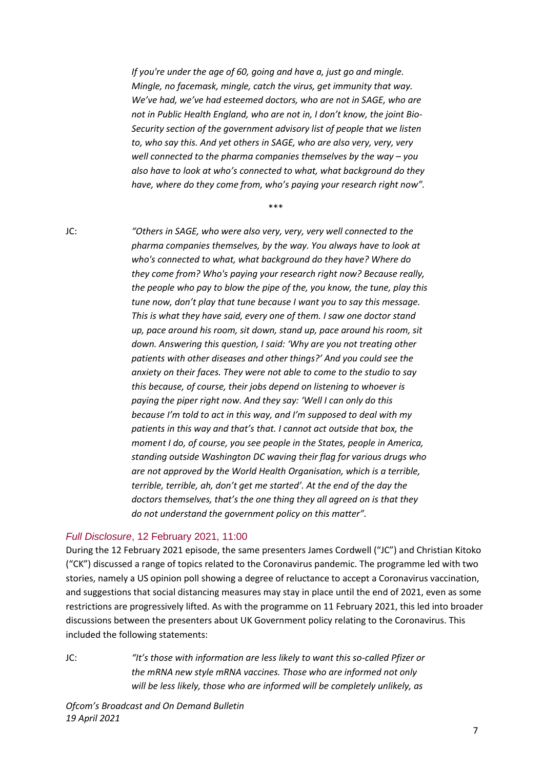*If you're under the age of 60, going and have a, just go and mingle. Mingle, no facemask, mingle, catch the virus, get immunity that way. We've had, we've had esteemed doctors, who are not in SAGE, who are not in Public Health England, who are not in, I don't know, the joint Bio-Security section of the government advisory list of people that we listen to, who say this. And yet others in SAGE, who are also very, very, very well connected to the pharma companies themselves by the way – you also have to look at who's connected to what, what background do they have, where do they come from, who's paying your research right now".*

\*\*\*

JC: *"Others in SAGE, who were also very, very, very well connected to the pharma companies themselves, by the way. You always have to look at who's connected to what, what background do they have? Where do they come from? Who's paying your research right now? Because really, the people who pay to blow the pipe of the, you know, the tune, play this tune now, don't play that tune because I want you to say this message. This is what they have said, every one of them. I saw one doctor stand up, pace around his room, sit down, stand up, pace around his room, sit down. Answering this question, I said: 'Why are you not treating other patients with other diseases and other things?' And you could see the anxiety on their faces. They were not able to come to the studio to say this because, of course, their jobs depend on listening to whoever is paying the piper right now. And they say: 'Well I can only do this because I'm told to act in this way, and I'm supposed to deal with my patients in this way and that's that. I cannot act outside that box, the moment I do, of course, you see people in the States, people in America, standing outside Washington DC waving their flag for various drugs who are not approved by the World Health Organisation, which is a terrible, terrible, terrible, ah, don't get me started'. At the end of the day the doctors themselves, that's the one thing they all agreed on is that they do not understand the government policy on this matter".*

#### *Full Disclosure*, 12 February 2021, 11:00

During the 12 February 2021 episode, the same presenters James Cordwell ("JC") and Christian Kitoko ("CK") discussed a range of topics related to the Coronavirus pandemic. The programme led with two stories, namely a US opinion poll showing a degree of reluctance to accept a Coronavirus vaccination, and suggestions that social distancing measures may stay in place until the end of 2021, even as some restrictions are progressively lifted. As with the programme on 11 February 2021, this led into broader discussions between the presenters about UK Government policy relating to the Coronavirus. This included the following statements:

JC: *"It's those with information are less likely to want this so-called Pfizer or the mRNA new style mRNA vaccines. Those who are informed not only will be less likely, those who are informed will be completely unlikely, as*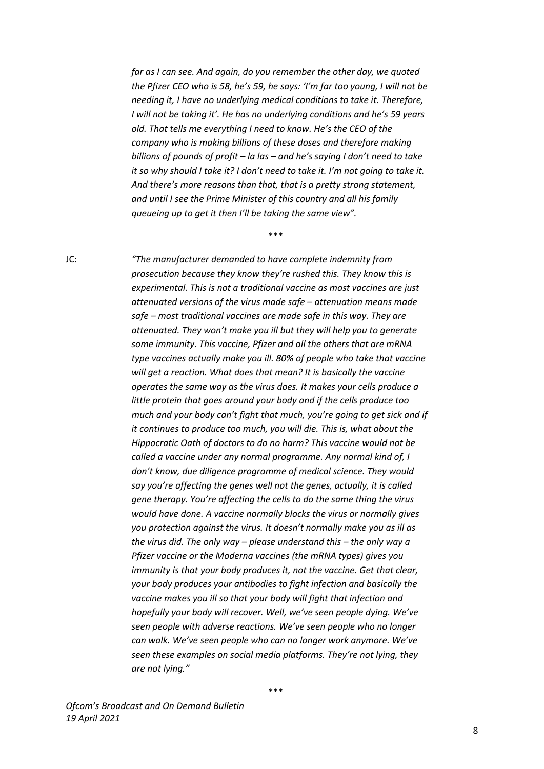*far as I can see. And again, do you remember the other day, we quoted the Pfizer CEO who is 58, he's 59, he says: 'I'm far too young, I will not be needing it, I have no underlying medical conditions to take it. Therefore, I will not be taking it'. He has no underlying conditions and he's 59 years old. That tells me everything I need to know. He's the CEO of the company who is making billions of these doses and therefore making billions of pounds of profit – la las – and he's saying I don't need to take it so why should I take it? I don't need to take it. I'm not going to take it. And there's more reasons than that, that is a pretty strong statement, and until I see the Prime Minister of this country and all his family queueing up to get it then I'll be taking the same view".*

\*\*\*

JC: *"The manufacturer demanded to have complete indemnity from prosecution because they know they're rushed this. They know this is experimental. This is not a traditional vaccine as most vaccines are just attenuated versions of the virus made safe – attenuation means made safe – most traditional vaccines are made safe in this way. They are attenuated. They won't make you ill but they will help you to generate some immunity. This vaccine, Pfizer and all the others that are mRNA type vaccines actually make you ill. 80% of people who take that vaccine will get a reaction. What does that mean? It is basically the vaccine operates the same way as the virus does. It makes your cells produce a little protein that goes around your body and if the cells produce too much and your body can't fight that much, you're going to get sick and if it continues to produce too much, you will die. This is, what about the Hippocratic Oath of doctors to do no harm? This vaccine would not be called a vaccine under any normal programme. Any normal kind of, I don't know, due diligence programme of medical science. They would say you're affecting the genes well not the genes, actually, it is called gene therapy. You're affecting the cells to do the same thing the virus would have done. A vaccine normally blocks the virus or normally gives you protection against the virus. It doesn't normally make you as ill as the virus did. The only way – please understand this – the only way a Pfizer vaccine or the Moderna vaccines (the mRNA types) gives you immunity is that your body produces it, not the vaccine. Get that clear, your body produces your antibodies to fight infection and basically the vaccine makes you ill so that your body will fight that infection and hopefully your body will recover. Well, we've seen people dying. We've seen people with adverse reactions. We've seen people who no longer can walk. We've seen people who can no longer work anymore. We've seen these examples on social media platforms. They're not lying, they are not lying."*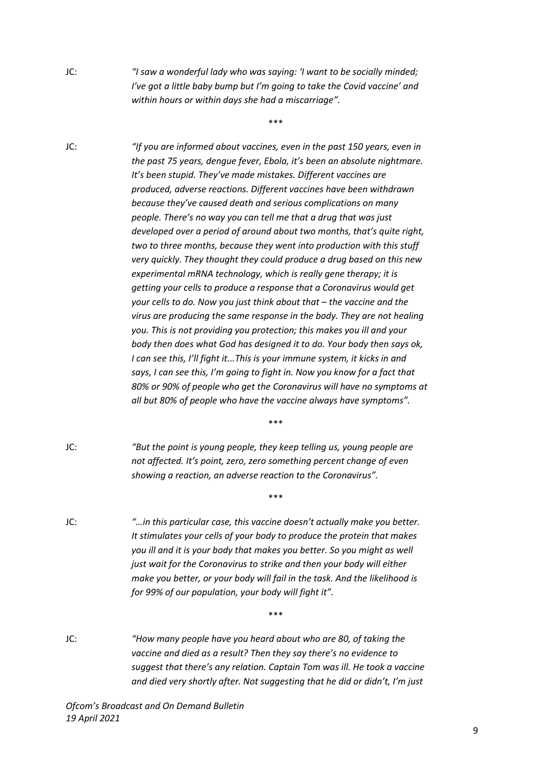JC: *"I saw a wonderful lady who was saying: 'I want to be socially minded; I've got a little baby bump but I'm going to take the Covid vaccine' and within hours or within days she had a miscarriage".*

\*\*\*

JC: *"If you are informed about vaccines, even in the past 150 years, even in the past 75 years, dengue fever, Ebola, it's been an absolute nightmare. It's been stupid. They've made mistakes. Different vaccines are produced, adverse reactions. Different vaccines have been withdrawn because they've caused death and serious complications on many people. There's no way you can tell me that a drug that was just developed over a period of around about two months, that's quite right, two to three months, because they went into production with this stuff very quickly. They thought they could produce a drug based on this new experimental mRNA technology, which is really gene therapy; it is getting your cells to produce a response that a Coronavirus would get your cells to do. Now you just think about that – the vaccine and the virus are producing the same response in the body. They are not healing you. This is not providing you protection; this makes you ill and your body then does what God has designed it to do. Your body then says ok, I can see this, I'll fight it...This is your immune system, it kicks in and says, I can see this, I'm going to fight in. Now you know for a fact that 80% or 90% of people who get the Coronavirus will have no symptoms at all but 80% of people who have the vaccine always have symptoms".*

JC: *"But the point is young people, they keep telling us, young people are not affected. It's point, zero, zero something percent change of even showing a reaction, an adverse reaction to the Coronavirus".*

\*\*\*

\*\*\*

- JC: *"…in this particular case, this vaccine doesn't actually make you better. It stimulates your cells of your body to produce the protein that makes you ill and it is your body that makes you better. So you might as well just wait for the Coronavirus to strike and then your body will either make you better, or your body will fail in the task. And the likelihood is for 99% of our population, your body will fight it".*
- JC: *"How many people have you heard about who are 80, of taking the vaccine and died as a result? Then they say there's no evidence to suggest that there's any relation. Captain Tom was ill. He took a vaccine and died very shortly after. Not suggesting that he did or didn't, I'm just*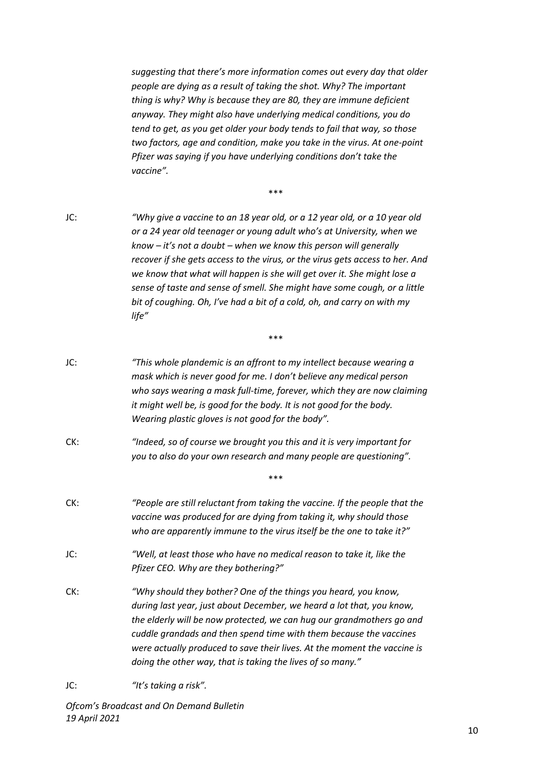*suggesting that there's more information comes out every day that older people are dying as a result of taking the shot. Why? The important thing is why? Why is because they are 80, they are immune deficient anyway. They might also have underlying medical conditions, you do tend to get, as you get older your body tends to fail that way, so those two factors, age and condition, make you take in the virus. At one-point Pfizer was saying if you have underlying conditions don't take the vaccine".*

\*\*\*

JC: *"Why give a vaccine to an 18 year old, or a 12 year old, or a 10 year old or a 24 year old teenager or young adult who's at University, when we know – it's not a doubt – when we know this person will generally recover if she gets access to the virus, or the virus gets access to her. And we know that what will happen is she will get over it. She might lose a sense of taste and sense of smell. She might have some cough, or a little bit of coughing. Oh, I've had a bit of a cold, oh, and carry on with my life"*

\*\*\*

- JC: *"This whole plandemic is an affront to my intellect because wearing a mask which is never good for me. I don't believe any medical person who says wearing a mask full-time, forever, which they are now claiming it might well be, is good for the body. It is not good for the body. Wearing plastic gloves is not good for the body".*
- CK: *"Indeed, so of course we brought you this and it is very important for you to also do your own research and many people are questioning".*
- CK: *"People are still reluctant from taking the vaccine. If the people that the vaccine was produced for are dying from taking it, why should those who are apparently immune to the virus itself be the one to take it?"*
- JC: *"Well, at least those who have no medical reason to take it, like the Pfizer CEO. Why are they bothering?"*
- CK: *"Why should they bother? One of the things you heard, you know, during last year, just about December, we heard a lot that, you know, the elderly will be now protected, we can hug our grandmothers go and cuddle grandads and then spend time with them because the vaccines were actually produced to save their lives. At the moment the vaccine is doing the other way, that is taking the lives of so many."*
- JC: *"It's taking a risk".*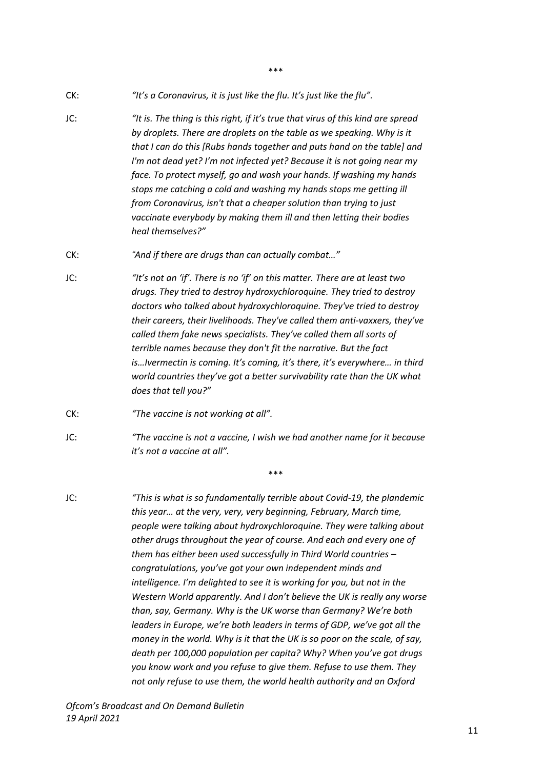- CK: *"It's a Coronavirus, it is just like the flu. It's just like the flu".*
- JC: *"It is. The thing is this right, if it's true that virus of this kind are spread by droplets. There are droplets on the table as we speaking. Why is it that I can do this [Rubs hands together and puts hand on the table] and I'm not dead yet? I'm not infected yet? Because it is not going near my face. To protect myself, go and wash your hands. If washing my hands stops me catching a cold and washing my hands stops me getting ill from Coronavirus, isn't that a cheaper solution than trying to just vaccinate everybody by making them ill and then letting their bodies heal themselves?"*

\*\*\*

- CK: *"And if there are drugs than can actually combat…"*
- JC: *"It's not an 'if'. There is no 'if' on this matter. There are at least two drugs. They tried to destroy hydroxychloroquine. They tried to destroy doctors who talked about hydroxychloroquine. They've tried to destroy their careers, their livelihoods. They've called them anti-vaxxers, they've called them fake news specialists. They've called them all sorts of terrible names because they don't fit the narrative. But the fact is…Ivermectin is coming. It's coming, it's there, it's everywhere… in third world countries they've got a better survivability rate than the UK what does that tell you?"*
- CK: *"The vaccine is not working at all".*
- JC: *"The vaccine is not a vaccine, I wish we had another name for it because it's not a vaccine at all".*

\*\*\*

JC: *"This is what is so fundamentally terrible about Covid-19, the plandemic this year… at the very, very, very beginning, February, March time, people were talking about hydroxychloroquine. They were talking about other drugs throughout the year of course. And each and every one of them has either been used successfully in Third World countries – congratulations, you've got your own independent minds and intelligence. I'm delighted to see it is working for you, but not in the Western World apparently. And I don't believe the UK is really any worse than, say, Germany. Why is the UK worse than Germany? We're both leaders in Europe, we're both leaders in terms of GDP, we've got all the money in the world. Why is it that the UK is so poor on the scale, of say, death per 100,000 population per capita? Why? When you've got drugs you know work and you refuse to give them. Refuse to use them. They not only refuse to use them, the world health authority and an Oxford*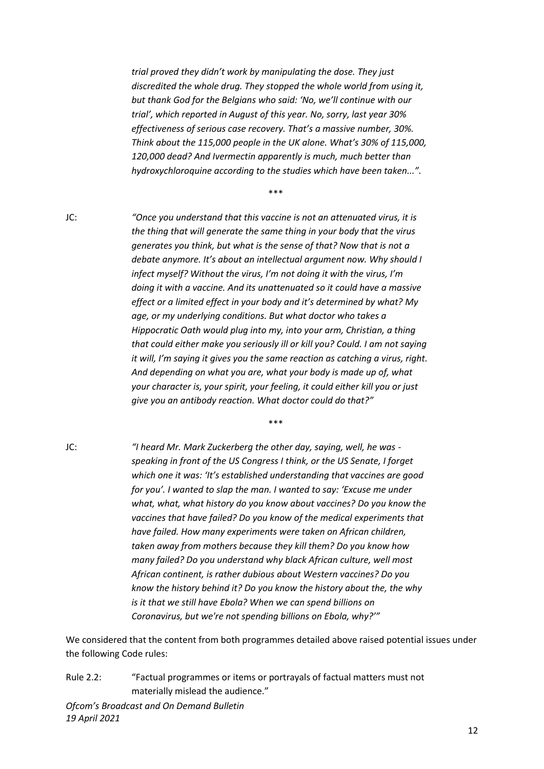*trial proved they didn't work by manipulating the dose. They just discredited the whole drug. They stopped the whole world from using it, but thank God for the Belgians who said: 'No, we'll continue with our trial', which reported in August of this year. No, sorry, last year 30% effectiveness of serious case recovery. That's a massive number, 30%. Think about the 115,000 people in the UK alone. What's 30% of 115,000, 120,000 dead? And Ivermectin apparently is much, much better than hydroxychloroquine according to the studies which have been taken...".*

\*\*\*

JC: *"Once you understand that this vaccine is not an attenuated virus, it is the thing that will generate the same thing in your body that the virus generates you think, but what is the sense of that? Now that is not a debate anymore. It's about an intellectual argument now. Why should I infect myself? Without the virus, I'm not doing it with the virus, I'm doing it with a vaccine. And its unattenuated so it could have a massive effect or a limited effect in your body and it's determined by what? My age, or my underlying conditions. But what doctor who takes a Hippocratic Oath would plug into my, into your arm, Christian, a thing that could either make you seriously ill or kill you? Could. I am not saying it will, I'm saying it gives you the same reaction as catching a virus, right. And depending on what you are, what your body is made up of, what your character is, your spirit, your feeling, it could either kill you or just give you an antibody reaction. What doctor could do that?"*

\*\*\*

JC: *"I heard Mr. Mark Zuckerberg the other day, saying, well, he was speaking in front of the US Congress I think, or the US Senate, I forget which one it was: 'It's established understanding that vaccines are good for you'. I wanted to slap the man. I wanted to say: 'Excuse me under what, what, what history do you know about vaccines? Do you know the vaccines that have failed? Do you know of the medical experiments that have failed. How many experiments were taken on African children, taken away from mothers because they kill them? Do you know how many failed? Do you understand why black African culture, well most African continent, is rather dubious about Western vaccines? Do you know the history behind it? Do you know the history about the, the why is it that we still have Ebola? When we can spend billions on Coronavirus, but we're not spending billions on Ebola, why?'"*

We considered that the content from both programmes detailed above raised potential issues under the following Code rules:

Rule 2.2: "Factual programmes or items or portrayals of factual matters must not materially mislead the audience."

*Ofcom's Broadcast and On Demand Bulletin 19 April 2021*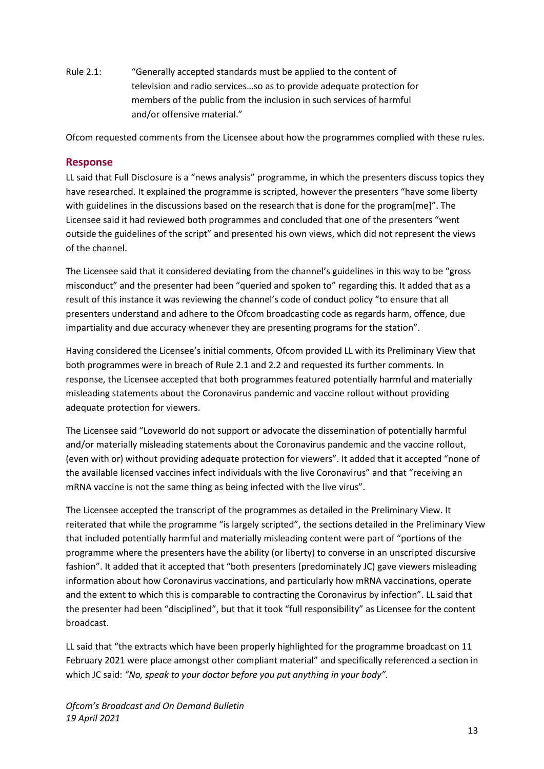Rule 2.1: "Generally accepted standards must be applied to the content of television and radio services…so as to provide adequate protection for members of the public from the inclusion in such services of harmful and/or offensive material."

Ofcom requested comments from the Licensee about how the programmes complied with these rules.

#### **Response**

LL said that Full Disclosure is a "news analysis" programme, in which the presenters discuss topics they have researched. It explained the programme is scripted, however the presenters "have some liberty with guidelines in the discussions based on the research that is done for the program[me]". The Licensee said it had reviewed both programmes and concluded that one of the presenters "went outside the guidelines of the script" and presented his own views, which did not represent the views of the channel.

The Licensee said that it considered deviating from the channel's guidelines in this way to be "gross misconduct" and the presenter had been "queried and spoken to" regarding this. It added that as a result of this instance it was reviewing the channel's code of conduct policy "to ensure that all presenters understand and adhere to the Ofcom broadcasting code as regards harm, offence, due impartiality and due accuracy whenever they are presenting programs for the station".

Having considered the Licensee's initial comments, Ofcom provided LL with its Preliminary View that both programmes were in breach of Rule 2.1 and 2.2 and requested its further comments. In response, the Licensee accepted that both programmes featured potentially harmful and materially misleading statements about the Coronavirus pandemic and vaccine rollout without providing adequate protection for viewers.

The Licensee said "Loveworld do not support or advocate the dissemination of potentially harmful and/or materially misleading statements about the Coronavirus pandemic and the vaccine rollout, (even with or) without providing adequate protection for viewers". It added that it accepted "none of the available licensed vaccines infect individuals with the live Coronavirus" and that "receiving an mRNA vaccine is not the same thing as being infected with the live virus".

The Licensee accepted the transcript of the programmes as detailed in the Preliminary View. It reiterated that while the programme "is largely scripted", the sections detailed in the Preliminary View that included potentially harmful and materially misleading content were part of "portions of the programme where the presenters have the ability (or liberty) to converse in an unscripted discursive fashion". It added that it accepted that "both presenters (predominately JC) gave viewers misleading information about how Coronavirus vaccinations, and particularly how mRNA vaccinations, operate and the extent to which this is comparable to contracting the Coronavirus by infection". LL said that the presenter had been "disciplined", but that it took "full responsibility" as Licensee for the content broadcast.

LL said that "the extracts which have been properly highlighted for the programme broadcast on 11 February 2021 were place amongst other compliant material" and specifically referenced a section in which JC said: *"No, speak to your doctor before you put anything in your body".*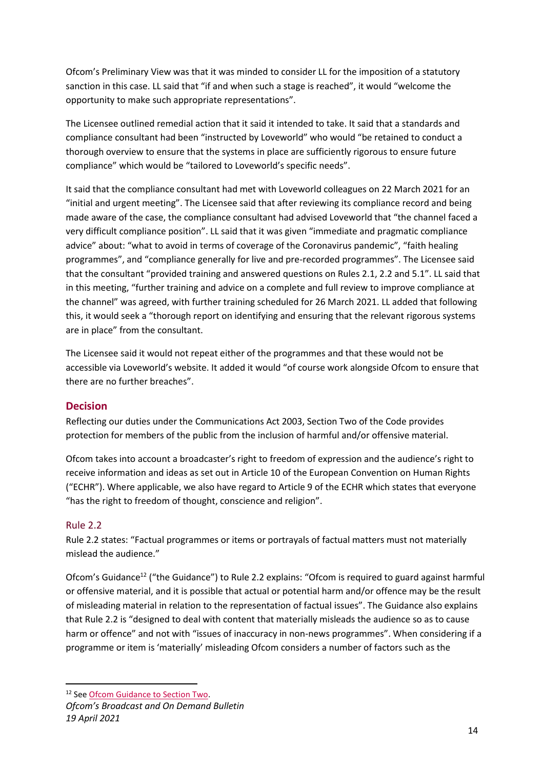Ofcom's Preliminary View was that it was minded to consider LL for the imposition of a statutory sanction in this case. LL said that "if and when such a stage is reached", it would "welcome the opportunity to make such appropriate representations".

The Licensee outlined remedial action that it said it intended to take. It said that a standards and compliance consultant had been "instructed by Loveworld" who would "be retained to conduct a thorough overview to ensure that the systems in place are sufficiently rigorous to ensure future compliance" which would be "tailored to Loveworld's specific needs".

It said that the compliance consultant had met with Loveworld colleagues on 22 March 2021 for an "initial and urgent meeting". The Licensee said that after reviewing its compliance record and being made aware of the case, the compliance consultant had advised Loveworld that "the channel faced a very difficult compliance position". LL said that it was given "immediate and pragmatic compliance advice" about: "what to avoid in terms of coverage of the Coronavirus pandemic", "faith healing programmes", and "compliance generally for live and pre-recorded programmes". The Licensee said that the consultant "provided training and answered questions on Rules 2.1, 2.2 and 5.1". LL said that in this meeting, "further training and advice on a complete and full review to improve compliance at the channel" was agreed, with further training scheduled for 26 March 2021. LL added that following this, it would seek a "thorough report on identifying and ensuring that the relevant rigorous systems are in place" from the consultant.

The Licensee said it would not repeat either of the programmes and that these would not be accessible via Loveworld's website. It added it would "of course work alongside Ofcom to ensure that there are no further breaches".

# **Decision**

Reflecting our duties under the Communications Act 2003, Section Two of the Code provides protection for members of the public from the inclusion of harmful and/or offensive material.

Ofcom takes into account a broadcaster's right to freedom of expression and the audience's right to receive information and ideas as set out in Article 10 of the European Convention on Human Rights ("ECHR"). Where applicable, we also have regard to Article 9 of the ECHR which states that everyone "has the right to freedom of thought, conscience and religion".

# Rule 2.2

Rule 2.2 states: "Factual programmes or items or portrayals of factual matters must not materially mislead the audience."

Ofcom's Guidance<sup>12</sup> ("the Guidance") to Rule 2.2 explains: "Ofcom is required to guard against harmful or offensive material, and it is possible that actual or potential harm and/or offence may be the result of misleading material in relation to the representation of factual issues". The Guidance also explains that Rule 2.2 is "designed to deal with content that materially misleads the audience so as to cause harm or offence" and not with "issues of inaccuracy in non-news programmes". When considering if a programme or item is 'materially' misleading Ofcom considers a number of factors such as the

<sup>&</sup>lt;sup>12</sup> Se[e Ofcom Guidance to Section Two.](https://www.ofcom.org.uk/__data/assets/pdf_file/0023/104657/Section-2-Guidance-Notes.pdf)

*Ofcom's Broadcast and On Demand Bulletin 19 April 2021*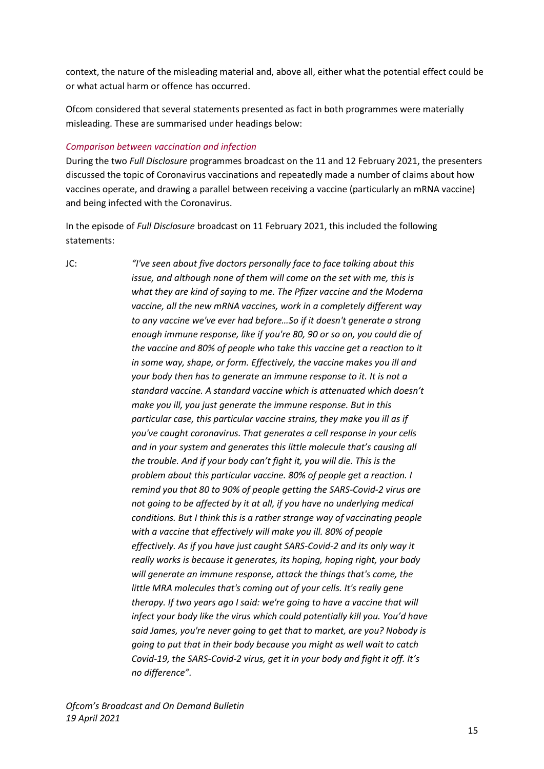context, the nature of the misleading material and, above all, either what the potential effect could be or what actual harm or offence has occurred.

Ofcom considered that several statements presented as fact in both programmes were materially misleading. These are summarised under headings below:

#### *Comparison between vaccination and infection*

During the two *Full Disclosure* programmes broadcast on the 11 and 12 February 2021, the presenters discussed the topic of Coronavirus vaccinations and repeatedly made a number of claims about how vaccines operate, and drawing a parallel between receiving a vaccine (particularly an mRNA vaccine) and being infected with the Coronavirus.

In the episode of *Full Disclosure* broadcast on 11 February 2021, this included the following statements:

JC: *"I've seen about five doctors personally face to face talking about this issue, and although none of them will come on the set with me, this is what they are kind of saying to me. The Pfizer vaccine and the Moderna vaccine, all the new mRNA vaccines, work in a completely different way to any vaccine we've ever had before…So if it doesn't generate a strong enough immune response, like if you're 80, 90 or so on, you could die of the vaccine and 80% of people who take this vaccine get a reaction to it in some way, shape, or form. Effectively, the vaccine makes you ill and your body then has to generate an immune response to it. It is not a standard vaccine. A standard vaccine which is attenuated which doesn't make you ill, you just generate the immune response. But in this particular case, this particular vaccine strains, they make you ill as if you've caught coronavirus. That generates a cell response in your cells and in your system and generates this little molecule that's causing all the trouble. And if your body can't fight it, you will die. This is the problem about this particular vaccine. 80% of people get a reaction. I remind you that 80 to 90% of people getting the SARS-Covid-2 virus are not going to be affected by it at all, if you have no underlying medical conditions. But I think this is a rather strange way of vaccinating people with a vaccine that effectively will make you ill. 80% of people effectively. As if you have just caught SARS-Covid-2 and its only way it really works is because it generates, its hoping, hoping right, your body will generate an immune response, attack the things that's come, the little MRA molecules that's coming out of your cells. It's really gene therapy. If two years ago I said: we're going to have a vaccine that will infect your body like the virus which could potentially kill you. You'd have said James, you're never going to get that to market, are you? Nobody is going to put that in their body because you might as well wait to catch Covid-19, the SARS-Covid-2 virus, get it in your body and fight it off. It's no difference".*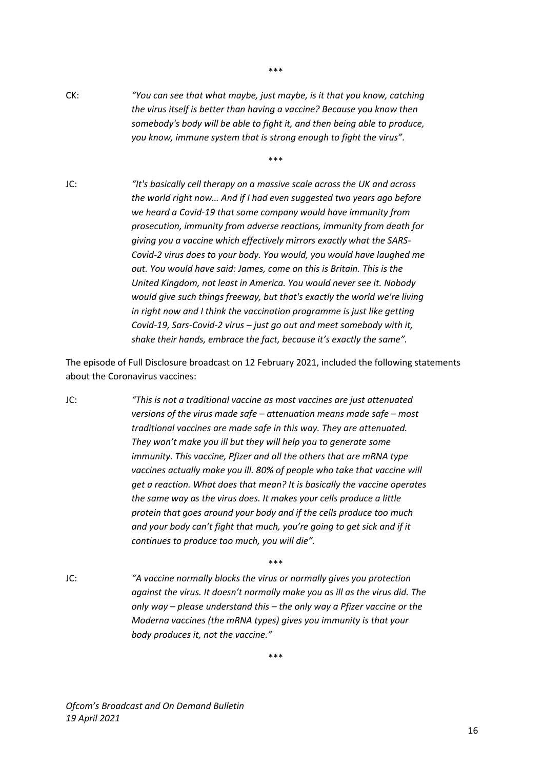CK: *"You can see that what maybe, just maybe, is it that you know, catching the virus itself is better than having a vaccine? Because you know then somebody's body will be able to fight it, and then being able to produce, you know, immune system that is strong enough to fight the virus".*

\*\*\*

\*\*\*

JC: *"It's basically cell therapy on a massive scale across the UK and across the world right now… And if I had even suggested two years ago before we heard a Covid-19 that some company would have immunity from prosecution, immunity from adverse reactions, immunity from death for giving you a vaccine which effectively mirrors exactly what the SARS-Covid-2 virus does to your body. You would, you would have laughed me out. You would have said: James, come on this is Britain. This is the United Kingdom, not least in America. You would never see it. Nobody would give such things freeway, but that's exactly the world we're living in right now and I think the vaccination programme is just like getting Covid-19, Sars-Covid-2 virus – just go out and meet somebody with it, shake their hands, embrace the fact, because it's exactly the same".*

The episode of Full Disclosure broadcast on 12 February 2021, included the following statements about the Coronavirus vaccines:

- JC: *"This is not a traditional vaccine as most vaccines are just attenuated versions of the virus made safe – attenuation means made safe – most traditional vaccines are made safe in this way. They are attenuated. They won't make you ill but they will help you to generate some immunity. This vaccine, Pfizer and all the others that are mRNA type vaccines actually make you ill. 80% of people who take that vaccine will get a reaction. What does that mean? It is basically the vaccine operates the same way as the virus does. It makes your cells produce a little protein that goes around your body and if the cells produce too much and your body can't fight that much, you're going to get sick and if it continues to produce too much, you will die".*
- JC: *"A vaccine normally blocks the virus or normally gives you protection against the virus. It doesn't normally make you as ill as the virus did. The only way – please understand this – the only way a Pfizer vaccine or the Moderna vaccines (the mRNA types) gives you immunity is that your body produces it, not the vaccine."*

\*\*\*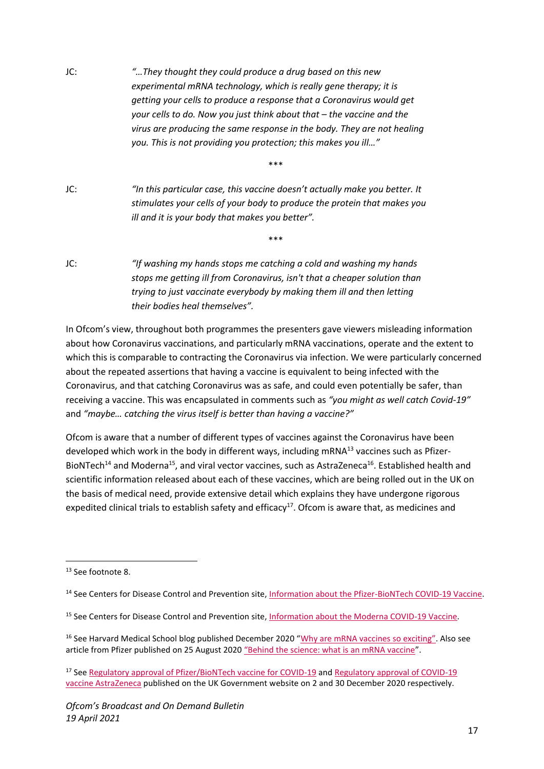JC: *"…They thought they could produce a drug based on this new experimental mRNA technology, which is really gene therapy; it is getting your cells to produce a response that a Coronavirus would get your cells to do. Now you just think about that – the vaccine and the virus are producing the same response in the body. They are not healing you. This is not providing you protection; this makes you ill…"*

\*\*\*

\*\*\*

- JC: *"In this particular case, this vaccine doesn't actually make you better. It stimulates your cells of your body to produce the protein that makes you ill and it is your body that makes you better".*
- JC: *"If washing my hands stops me catching a cold and washing my hands stops me getting ill from Coronavirus, isn't that a cheaper solution than trying to just vaccinate everybody by making them ill and then letting their bodies heal themselves".*

In Ofcom's view, throughout both programmes the presenters gave viewers misleading information about how Coronavirus vaccinations, and particularly mRNA vaccinations, operate and the extent to which this is comparable to contracting the Coronavirus via infection. We were particularly concerned about the repeated assertions that having a vaccine is equivalent to being infected with the Coronavirus, and that catching Coronavirus was as safe, and could even potentially be safer, than receiving a vaccine. This was encapsulated in comments such as *"you might as well catch Covid-19"*  and *"maybe… catching the virus itself is better than having a vaccine?"*

Ofcom is aware that a number of different types of vaccines against the Coronavirus have been developed which work in the body in different ways, including mRNA<sup>13</sup> vaccines such as Pfizer-BioNTech<sup>14</sup> and Moderna<sup>15</sup>, and viral vector vaccines, such as AstraZeneca<sup>16</sup>. Established health and scientific information released about each of these vaccines, which are being rolled out in the UK on the basis of medical need, provide extensive detail which explains they have undergone rigorous expedited clinical trials to establish safety and efficacy<sup>17</sup>. Ofcom is aware that, as medicines and

<sup>&</sup>lt;sup>13</sup> See footnote 8.

<sup>&</sup>lt;sup>14</sup> See Centers for Disease Control and Prevention site[, Information about the Pfizer-BioNTech COVID-19 Vaccine.](https://www.cdc.gov/coronavirus/2019-ncov/vaccines/different-vaccines/Pfizer-BioNTech.html)

<sup>&</sup>lt;sup>15</sup> See Centers for Disease Control and Prevention site, *Information about the Moderna COVID-19 Vaccine*.

<sup>&</sup>lt;sup>16</sup> See Harvard Medical School blog published December 2020 "[Why are mRNA vaccines so excitin](https://www.health.harvard.edu/blog/why-are-mrna-vaccines-so-exciting-2020121021599)g". Also see article from Pfizer published on 25 August 2020 ["Behind the science: what is an mRNA vaccine"](https://www.pfizer.co.uk/behind-science-what-mrna-vaccine).

<sup>&</sup>lt;sup>17</sup> Se[e Regulatory approval of Pfizer/BioNTech vaccine for COVID-19](https://www.gov.uk/government/publications/regulatory-approval-of-pfizer-biontech-vaccine-for-covid-19) and Regulatory approval of COVID-19 [vaccine AstraZeneca](https://www.gov.uk/government/publications/regulatory-approval-of-covid-19-vaccine-astrazeneca) published on the UK Government website on 2 and 30 December 2020 respectively.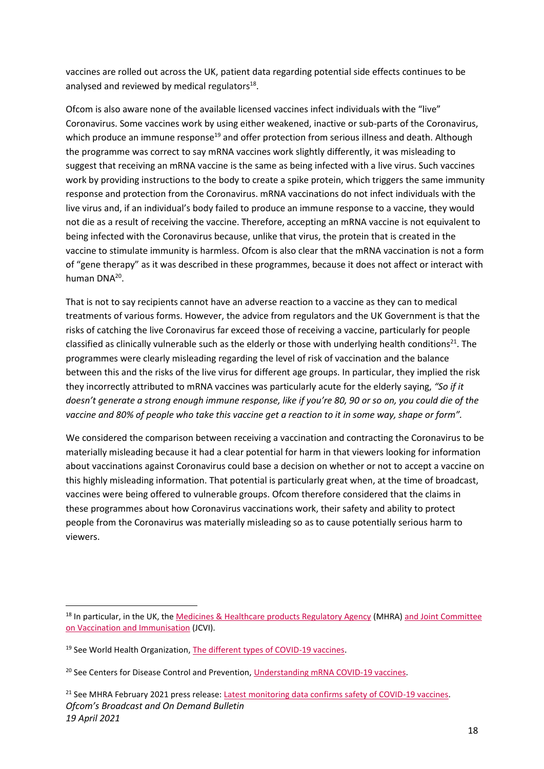vaccines are rolled out across the UK, patient data regarding potential side effects continues to be analysed and reviewed by medical regulators<sup>18</sup>.

Ofcom is also aware none of the available licensed vaccines infect individuals with the "live" Coronavirus. Some vaccines work by using either weakened, inactive or sub-parts of the Coronavirus, which produce an immune response<sup>19</sup> and offer protection from serious illness and death. Although the programme was correct to say mRNA vaccines work slightly differently, it was misleading to suggest that receiving an mRNA vaccine is the same as being infected with a live virus. Such vaccines work by providing instructions to the body to create a spike protein, which triggers the same immunity response and protection from the Coronavirus. mRNA vaccinations do not infect individuals with the live virus and, if an individual's body failed to produce an immune response to a vaccine, they would not die as a result of receiving the vaccine. Therefore, accepting an mRNA vaccine is not equivalent to being infected with the Coronavirus because, unlike that virus, the protein that is created in the vaccine to stimulate immunity is harmless. Ofcom is also clear that the mRNA vaccination is not a form of "gene therapy" as it was described in these programmes, because it does not affect or interact with human DNA<sup>20</sup>.

That is not to say recipients cannot have an adverse reaction to a vaccine as they can to medical treatments of various forms. However, the advice from regulators and the UK Government is that the risks of catching the live Coronavirus far exceed those of receiving a vaccine, particularly for people classified as clinically vulnerable such as the elderly or those with underlying health conditions<sup>21</sup>. The programmes were clearly misleading regarding the level of risk of vaccination and the balance between this and the risks of the live virus for different age groups. In particular, they implied the risk they incorrectly attributed to mRNA vaccines was particularly acute for the elderly saying, *"So if it doesn't generate a strong enough immune response, like if you're 80, 90 or so on, you could die of the vaccine and 80% of people who take this vaccine get a reaction to it in some way, shape or form".*

We considered the comparison between receiving a vaccination and contracting the Coronavirus to be materially misleading because it had a clear potential for harm in that viewers looking for information about vaccinations against Coronavirus could base a decision on whether or not to accept a vaccine on this highly misleading information. That potential is particularly great when, at the time of broadcast, vaccines were being offered to vulnerable groups. Ofcom therefore considered that the claims in these programmes about how Coronavirus vaccinations work, their safety and ability to protect people from the Coronavirus was materially misleading so as to cause potentially serious harm to viewers.

<sup>&</sup>lt;sup>18</sup> In particular, in the UK, th[e Medicines & Healthcare products Regulatory Agency](https://www.gov.uk/government/organisations/medicines-and-healthcare-products-regulatory-agency) (MHRA) and Joint Committee [on Vaccination and Immunisation](https://www.gov.uk/government/groups/joint-committee-on-vaccination-and-immunisation) (JCVI).

<sup>&</sup>lt;sup>19</sup> See World Health Organization, [The different types of COVID-19 vaccines.](https://www.who.int/news-room/feature-stories/detail/the-race-for-a-covid-19-vaccine-explained)

<sup>&</sup>lt;sup>20</sup> See Centers for Disease Control and Prevention, [Understanding mRNA COVID-19 vaccines.](https://www.cdc.gov/coronavirus/2019-ncov/vaccines/different-vaccines/mrna.html)

*Ofcom's Broadcast and On Demand Bulletin 19 April 2021* <sup>21</sup> See MHRA February 2021 press release: [Latest monitoring data confirms safety of COVID-19 vaccines.](https://www.gov.uk/government/news/latest-monitoring-data-confirms-safety-of-covid-19-vaccines)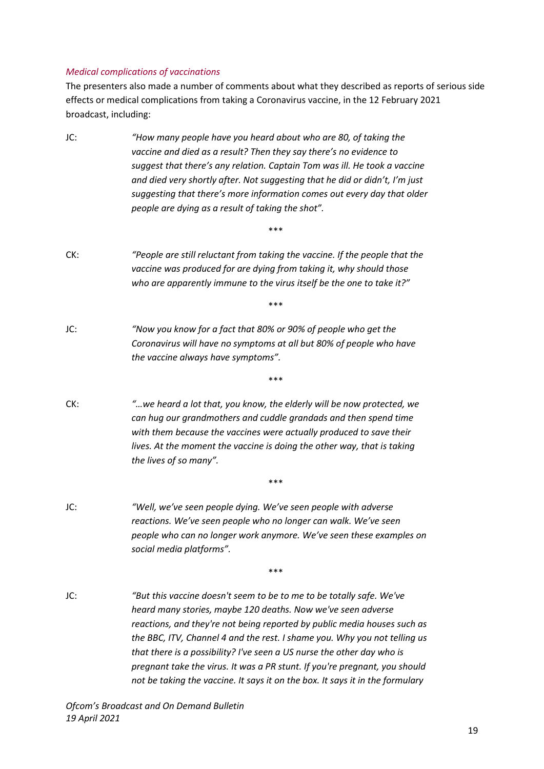#### *Medical complications of vaccinations*

The presenters also made a number of comments about what they described as reports of serious side effects or medical complications from taking a Coronavirus vaccine, in the 12 February 2021 broadcast, including:

JC: *"How many people have you heard about who are 80, of taking the vaccine and died as a result? Then they say there's no evidence to suggest that there's any relation. Captain Tom was ill. He took a vaccine and died very shortly after. Not suggesting that he did or didn't, I'm just suggesting that there's more information comes out every day that older people are dying as a result of taking the shot".* \*\*\* CK: *"People are still reluctant from taking the vaccine. If the people that the vaccine was produced for are dying from taking it, why should those who are apparently immune to the virus itself be the one to take it?"* \*\*\* JC: *"Now you know for a fact that 80% or 90% of people who get the Coronavirus will have no symptoms at all but 80% of people who have the vaccine always have symptoms".* \*\*\* CK: *"…we heard a lot that, you know, the elderly will be now protected, we can hug our grandmothers and cuddle grandads and then spend time with them because the vaccines were actually produced to save their lives. At the moment the vaccine is doing the other way, that is taking the lives of so many".* \*\*\* JC: *"Well, we've seen people dying. We've seen people with adverse reactions. We've seen people who no longer can walk. We've seen people who can no longer work anymore. We've seen these examples on social media platforms".* \*\*\* JC: *"But this vaccine doesn't seem to be to me to be totally safe. We've heard many stories, maybe 120 deaths. Now we've seen adverse reactions, and they're not being reported by public media houses such as the BBC, ITV, Channel 4 and the rest. I shame you. Why you not telling us that there is a possibility? I've seen a US nurse the other day who is pregnant take the virus. It was a PR stunt. If you're pregnant, you should not be taking the vaccine. It says it on the box. It says it in the formulary*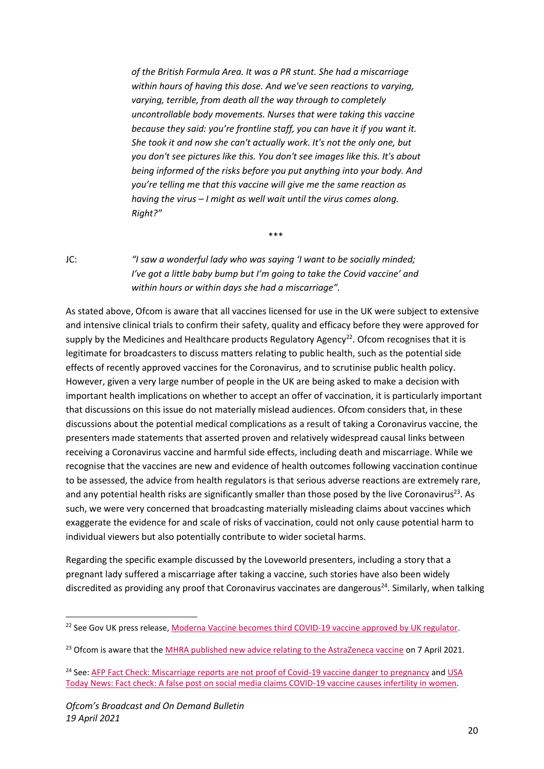*of the British Formula Area. It was a PR stunt. She had a miscarriage within hours of having this dose. And we've seen reactions to varying, varying, terrible, from death all the way through to completely uncontrollable body movements. Nurses that were taking this vaccine because they said: you're frontline staff, you can have it if you want it. She took it and now she can't actually work. It's not the only one, but you don't see pictures like this. You don't see images like this. It's about being informed of the risks before you put anything into your body. And you're telling me that this vaccine will give me the same reaction as having the virus – I might as well wait until the virus comes along. Right?"*

JC: *"I saw a wonderful lady who was saying 'I want to be socially minded; I've got a little baby bump but I'm going to take the Covid vaccine' and within hours or within days she had a miscarriage".*

\*\*\*

As stated above, Ofcom is aware that all vaccines licensed for use in the UK were subject to extensive and intensive clinical trials to confirm their safety, quality and efficacy before they were approved for supply by the Medicines and Healthcare products Regulatory Agency<sup>22</sup>. Ofcom recognises that it is legitimate for broadcasters to discuss matters relating to public health, such as the potential side effects of recently approved vaccines for the Coronavirus, and to scrutinise public health policy. However, given a very large number of people in the UK are being asked to make a decision with important health implications on whether to accept an offer of vaccination, it is particularly important that discussions on this issue do not materially mislead audiences. Ofcom considers that, in these discussions about the potential medical complications as a result of taking a Coronavirus vaccine, the presenters made statements that asserted proven and relatively widespread causal links between receiving a Coronavirus vaccine and harmful side effects, including death and miscarriage. While we recognise that the vaccines are new and evidence of health outcomes following vaccination continue to be assessed, the advice from health regulators is that serious adverse reactions are extremely rare, and any potential health risks are significantly smaller than those posed by the live Coronavirus<sup>23</sup>. As such, we were very concerned that broadcasting materially misleading claims about vaccines which exaggerate the evidence for and scale of risks of vaccination, could not only cause potential harm to individual viewers but also potentially contribute to wider societal harms.

Regarding the specific example discussed by the Loveworld presenters, including a story that a pregnant lady suffered a miscarriage after taking a vaccine, such stories have also been widely discredited as providing any proof that Coronavirus vaccinates are dangerous<sup>24</sup>. Similarly, when talking

<sup>&</sup>lt;sup>22</sup> See Gov UK press release, [Moderna Vaccine becomes third COVID-19 vaccine approved by UK regulator.](https://www.gov.uk/government/news/moderna-vaccine-becomes-third-covid-19-vaccine-approved-by-uk-regulator)

<sup>&</sup>lt;sup>23</sup> Ofcom is aware that the [MHRA published new advice relating to the AstraZeneca vaccine](https://www.gov.uk/government/news/mhra-issues-new-advice-concluding-a-possible-link-between-covid-19-vaccine-astrazeneca-and-extremely-rare-unlikely-to-occur-blood-clots) on 7 April 2021.

<sup>&</sup>lt;sup>24</sup> See: [AFP Fact Check: Miscarriage reports are not proof of Covid-19 vaccine danger to pregnancy](https://factcheck.afp.com/miscarriage-reports-are-not-proof-covid-19-vaccine-danger-pregnancy) and USA [Today News: Fact check: A false post on social media claims COVID-19 vaccine causes infertility in women.](https://eu.usatoday.com/story/news/factcheck/2020/12/14/fact-check-no-evidence-covid-19-vaccine-causes-infertility-women/3884328001/)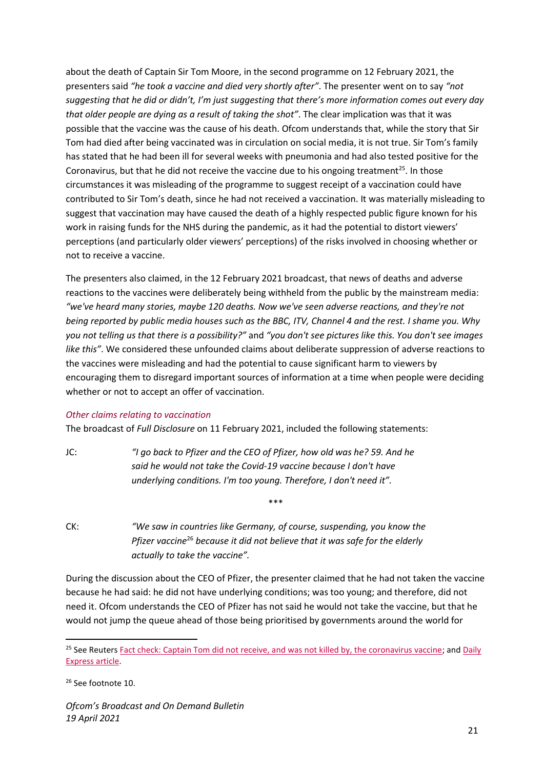about the death of Captain Sir Tom Moore, in the second programme on 12 February 2021, the presenters said *"he took a vaccine and died very shortly after"*. The presenter went on to say *"not suggesting that he did or didn't, I'm just suggesting that there's more information comes out every day that older people are dying as a result of taking the shot"*. The clear implication was that it was possible that the vaccine was the cause of his death. Ofcom understands that, while the story that Sir Tom had died after being vaccinated was in circulation on social media, it is not true. Sir Tom's family has stated that he had been ill for several weeks with pneumonia and had also tested positive for the Coronavirus, but that he did not receive the vaccine due to his ongoing treatment<sup>25</sup>. In those circumstances it was misleading of the programme to suggest receipt of a vaccination could have contributed to Sir Tom's death, since he had not received a vaccination. It was materially misleading to suggest that vaccination may have caused the death of a highly respected public figure known for his work in raising funds for the NHS during the pandemic, as it had the potential to distort viewers' perceptions (and particularly older viewers' perceptions) of the risks involved in choosing whether or not to receive a vaccine.

The presenters also claimed, in the 12 February 2021 broadcast, that news of deaths and adverse reactions to the vaccines were deliberately being withheld from the public by the mainstream media: *"we've heard many stories, maybe 120 deaths. Now we've seen adverse reactions, and they're not being reported by public media houses such as the BBC, ITV, Channel 4 and the rest. I shame you. Why you not telling us that there is a possibility?"* and *"you don't see pictures like this. You don't see images like this"*. We considered these unfounded claims about deliberate suppression of adverse reactions to the vaccines were misleading and had the potential to cause significant harm to viewers by encouraging them to disregard important sources of information at a time when people were deciding whether or not to accept an offer of vaccination.

#### *Other claims relating to vaccination*

The broadcast of *Full Disclosure* on 11 February 2021, included the following statements:

JC: *"I go back to Pfizer and the CEO of Pfizer, how old was he? 59. And he said he would not take the Covid-19 vaccine because I don't have underlying conditions. I'm too young. Therefore, I don't need it".*

CK: *"We saw in countries like Germany, of course, suspending, you know the Pfizer vaccine*<sup>26</sup> *because it did not believe that it was safe for the elderly actually to take the vaccine".*

During the discussion about the CEO of Pfizer, the presenter claimed that he had not taken the vaccine because he had said: he did not have underlying conditions; was too young; and therefore, did not need it. Ofcom understands the CEO of Pfizer has not said he would not take the vaccine, but that he would not jump the queue ahead of those being prioritised by governments around the world for

<sup>&</sup>lt;sup>25</sup> See Reuters [Fact check: Captain Tom did not receive, and was not killed by, the coronavirus vaccine;](https://www.reuters.com/article/uk-factcheck-vaccine-death/fact-check-captain-tom-did-not-receive-and-was-not-killed-by-the-coronavirus-vaccine-idUSKBN2A52KP) and Daily [Express article.](https://www.express.co.uk/life-style/health/1392474/tom-moore-vaccine-latest-covid-dead) 

<sup>26</sup> See footnote 10.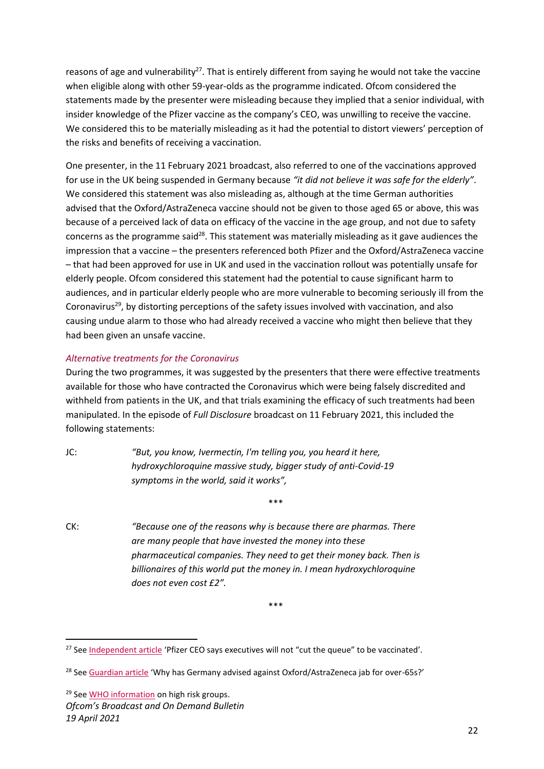reasons of age and vulnerability<sup>27</sup>. That is entirely different from saying he would not take the vaccine when eligible along with other 59-year-olds as the programme indicated. Ofcom considered the statements made by the presenter were misleading because they implied that a senior individual, with insider knowledge of the Pfizer vaccine as the company's CEO, was unwilling to receive the vaccine. We considered this to be materially misleading as it had the potential to distort viewers' perception of the risks and benefits of receiving a vaccination.

One presenter, in the 11 February 2021 broadcast, also referred to one of the vaccinations approved for use in the UK being suspended in Germany because *"it did not believe it was safe for the elderly"*. We considered this statement was also misleading as, although at the time German authorities advised that the Oxford/AstraZeneca vaccine should not be given to those aged 65 or above, this was because of a perceived lack of data on efficacy of the vaccine in the age group, and not due to safety concerns as the programme said<sup>28</sup>. This statement was materially misleading as it gave audiences the impression that a vaccine – the presenters referenced both Pfizer and the Oxford/AstraZeneca vaccine – that had been approved for use in UK and used in the vaccination rollout was potentially unsafe for elderly people. Ofcom considered this statement had the potential to cause significant harm to audiences, and in particular elderly people who are more vulnerable to becoming seriously ill from the Coronavirus<sup>29</sup>, by distorting perceptions of the safety issues involved with vaccination, and also causing undue alarm to those who had already received a vaccine who might then believe that they had been given an unsafe vaccine.

#### *Alternative treatments for the Coronavirus*

During the two programmes, it was suggested by the presenters that there were effective treatments available for those who have contracted the Coronavirus which were being falsely discredited and withheld from patients in the UK, and that trials examining the efficacy of such treatments had been manipulated. In the episode of *Full Disclosure* broadcast on 11 February 2021, this included the following statements:

JC: *"But, you know, Ivermectin, I'm telling you, you heard it here, hydroxychloroquine massive study, bigger study of anti-Covid-19 symptoms in the world, said it works",*

\*\*\*

CK: *"Because one of the reasons why is because there are pharmas. There are many people that have invested the money into these pharmaceutical companies. They need to get their money back. Then is billionaires of this world put the money in. I mean hydroxychloroquine does not even cost £2".*

<sup>&</sup>lt;sup>27</sup> Se[e Independent article](https://www.independent.co.uk/news/world/americas/us-politics/covid-vaccine-us-pfizer-ceo-b1773892.html) 'Pfizer CEO says executives will not "cut the queue" to be vaccinated'.

<sup>&</sup>lt;sup>28</sup> Se[e Guardian article](https://www.theguardian.com/world/2021/jan/28/why-has-germany-advised-against-oxfordastrazeneca-jab-for-over-65s) 'Why has Germany advised against Oxford/AstraZeneca jab for over-65s?'

<sup>&</sup>lt;sup>29</sup> Se[e WHO information](https://www.who.int/westernpacific/emergencies/covid-19/information/high-risk-groups#:~:text=COVID%2D19%20is%20often,their%20immune%20system.%E2%80%8B) on high risk groups.

*Ofcom's Broadcast and On Demand Bulletin 19 April 2021*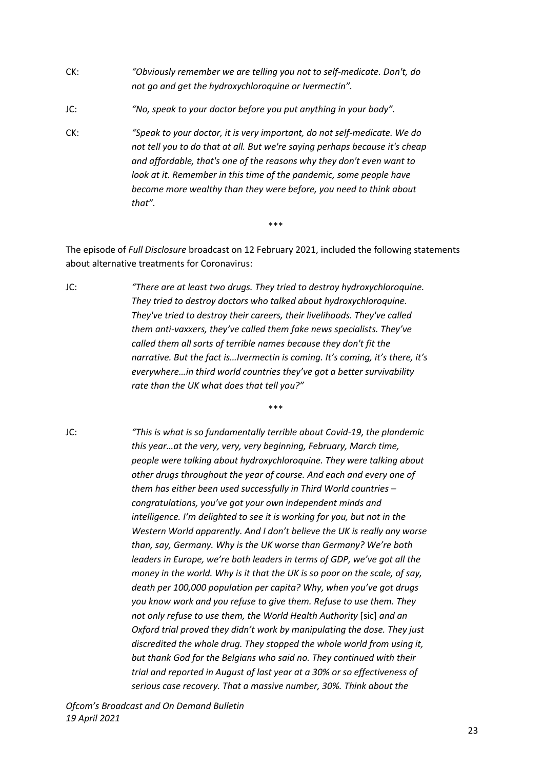- CK: *"Obviously remember we are telling you not to self-medicate. Don't, do not go and get the hydroxychloroquine or Ivermectin".*
- JC: *"No, speak to your doctor before you put anything in your body".*
- CK: *"Speak to your doctor, it is very important, do not self-medicate. We do not tell you to do that at all. But we're saying perhaps because it's cheap and affordable, that's one of the reasons why they don't even want to look at it. Remember in this time of the pandemic, some people have become more wealthy than they were before, you need to think about that".*

\*\*\*

\*\*\*

The episode of *Full Disclosure* broadcast on 12 February 2021, included the following statements about alternative treatments for Coronavirus:

JC: *"There are at least two drugs. They tried to destroy hydroxychloroquine. They tried to destroy doctors who talked about hydroxychloroquine. They've tried to destroy their careers, their livelihoods. They've called them anti-vaxxers, they've called them fake news specialists. They've called them all sorts of terrible names because they don't fit the narrative. But the fact is…Ivermectin is coming. It's coming, it's there, it's everywhere…in third world countries they've got a better survivability rate than the UK what does that tell you?"*

JC: *"This is what is so fundamentally terrible about Covid-19, the plandemic this year…at the very, very, very beginning, February, March time, people were talking about hydroxychloroquine. They were talking about other drugs throughout the year of course. And each and every one of them has either been used successfully in Third World countries – congratulations, you've got your own independent minds and intelligence. I'm delighted to see it is working for you, but not in the Western World apparently. And I don't believe the UK is really any worse than, say, Germany. Why is the UK worse than Germany? We're both leaders in Europe, we're both leaders in terms of GDP, we've got all the money in the world. Why is it that the UK is so poor on the scale, of say, death per 100,000 population per capita? Why, when you've got drugs you know work and you refuse to give them. Refuse to use them. They not only refuse to use them, the World Health Authority* [sic] *and an Oxford trial proved they didn't work by manipulating the dose. They just discredited the whole drug. They stopped the whole world from using it, but thank God for the Belgians who said no. They continued with their trial and reported in August of last year at a 30% or so effectiveness of serious case recovery. That a massive number, 30%. Think about the*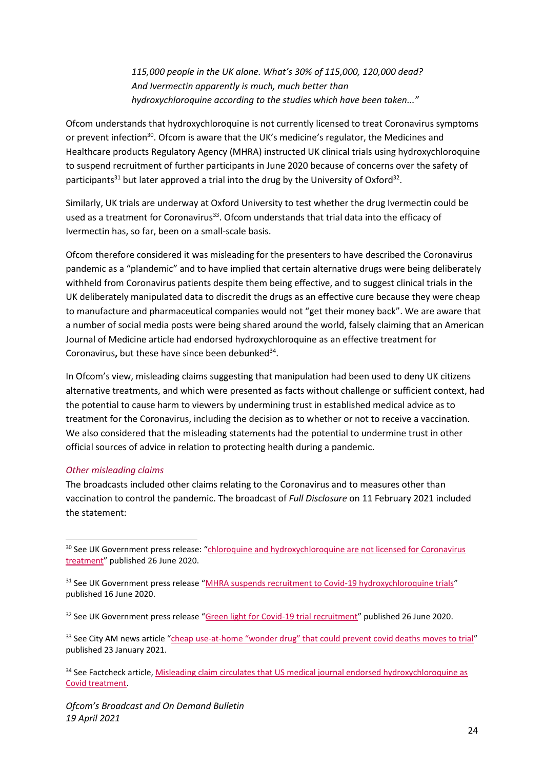*115,000 people in the UK alone. What's 30% of 115,000, 120,000 dead? And Ivermectin apparently is much, much better than hydroxychloroquine according to the studies which have been taken..."*

Ofcom understands that hydroxychloroquine is not currently licensed to treat Coronavirus symptoms or prevent infection<sup>30</sup>. Ofcom is aware that the UK's medicine's regulator, the Medicines and Healthcare products Regulatory Agency (MHRA) instructed UK clinical trials using hydroxychloroquine to suspend recruitment of further participants in June 2020 because of concerns over the safety of participants<sup>31</sup> but later approved a trial into the drug by the University of Oxford<sup>32</sup>.

Similarly, UK trials are underway at Oxford University to test whether the drug Ivermectin could be used as a treatment for Coronavirus $^{33}$ . Ofcom understands that trial data into the efficacy of Ivermectin has, so far, been on a small-scale basis.

Ofcom therefore considered it was misleading for the presenters to have described the Coronavirus pandemic as a "plandemic" and to have implied that certain alternative drugs were being deliberately withheld from Coronavirus patients despite them being effective, and to suggest clinical trials in the UK deliberately manipulated data to discredit the drugs as an effective cure because they were cheap to manufacture and pharmaceutical companies would not "get their money back". We are aware that a number of social media posts were being shared around the world, falsely claiming that an American Journal of Medicine article had endorsed hydroxychloroquine as an effective treatment for Coronavirus, but these have since been debunked<sup>34</sup>.

In Ofcom's view, misleading claims suggesting that manipulation had been used to deny UK citizens alternative treatments, and which were presented as facts without challenge or sufficient context, had the potential to cause harm to viewers by undermining trust in established medical advice as to treatment for the Coronavirus, including the decision as to whether or not to receive a vaccination. We also considered that the misleading statements had the potential to undermine trust in other official sources of advice in relation to protecting health during a pandemic.

#### *Other misleading claims*

The broadcasts included other claims relating to the Coronavirus and to measures other than vaccination to control the pandemic. The broadcast of *Full Disclosure* on 11 February 2021 included the statement:

<sup>&</sup>lt;sup>30</sup> See UK Government press release: "chloroquine and hydroxychloroquine are not licensed for Coronavirus [treatment](https://www.gov.uk/government/news/chloroquine-and-hydroxychloroquine-not-licensed-for-coronavirus-covid-19-treatment)" published 26 June 2020.

<sup>&</sup>lt;sup>31</sup> See UK Government press release "[MHRA suspends recruitment to Covid-19 hydroxychloroquine trials](https://www.gov.uk/government/news/mhra-suspends-recruitment-to-covid-19-hydroxychloroquine-trials)" published 16 June 2020.

<sup>&</sup>lt;sup>32</sup> See UK Government press release "[Green light for Covid-19 trial recruitment](https://www.gov.uk/government/news/green-light-for-covid-19-trial-recruitment)" published 26 June 2020.

<sup>&</sup>lt;sup>33</sup> See City AM news article "cheap use-at-[home "wonder drug" that could prevent covid deaths moves to trial"](https://www.cityam.com/uk-trial-for-cheap-wonder-drug-that-could-prevent-covid-deaths/) published 23 January 2021.

<sup>&</sup>lt;sup>34</sup> See Factcheck article, Misleading claim circulates that US medical journal endorsed hydroxychloroquine as [Covid treatment.](https://factcheck.afp.com/misleading-claim-circulates-us-medical-journal-endorsed-hydroxychloroquine-covid-treatment)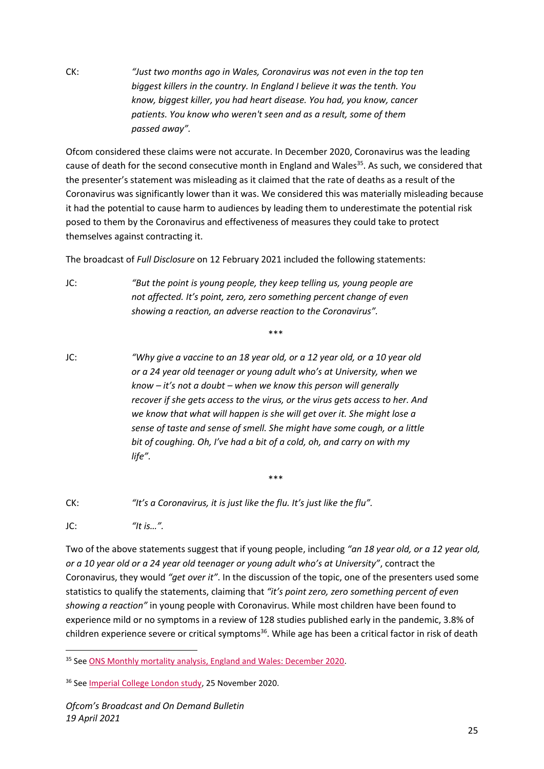CK: *"Just two months ago in Wales, Coronavirus was not even in the top ten biggest killers in the country. In England I believe it was the tenth. You know, biggest killer, you had heart disease. You had, you know, cancer patients. You know who weren't seen and as a result, some of them passed away".*

Ofcom considered these claims were not accurate. In December 2020, Coronavirus was the leading cause of death for the second consecutive month in England and Wales<sup>35</sup>. As such, we considered that the presenter's statement was misleading as it claimed that the rate of deaths as a result of the Coronavirus was significantly lower than it was. We considered this was materially misleading because it had the potential to cause harm to audiences by leading them to underestimate the potential risk posed to them by the Coronavirus and effectiveness of measures they could take to protect themselves against contracting it.

The broadcast of *Full Disclosure* on 12 February 2021 included the following statements:

JC: *"But the point is young people, they keep telling us, young people are not affected. It's point, zero, zero something percent change of even showing a reaction, an adverse reaction to the Coronavirus".*

\*\*\*

JC: *"Why give a vaccine to an 18 year old, or a 12 year old, or a 10 year old or a 24 year old teenager or young adult who's at University, when we know – it's not a doubt – when we know this person will generally recover if she gets access to the virus, or the virus gets access to her. And we know that what will happen is she will get over it. She might lose a sense of taste and sense of smell. She might have some cough, or a little bit of coughing. Oh, I've had a bit of a cold, oh, and carry on with my life".*

CK: *"It's a Coronavirus, it is just like the flu. It's just like the flu".*

 $\text{JC:}$  *"It is*...".

Two of the above statements suggest that if young people, including *"an 18 year old, or a 12 year old, or a 10 year old or a 24 year old teenager or young adult who's at University"*, contract the Coronavirus, they would *"get over it"*. In the discussion of the topic, one of the presenters used some statistics to qualify the statements, claiming that *"it's point zero, zero something percent of even showing a reaction"* in young people with Coronavirus. While most children have been found to experience mild or no symptoms in a review of 128 studies published early in the pandemic, 3.8% of children experience severe or critical symptoms<sup>36</sup>. While age has been a critical factor in risk of death

<sup>&</sup>lt;sup>35</sup> Se[e ONS Monthly mortality analysis, England and Wales: December 2020.](https://www.ons.gov.uk/peoplepopulationandcommunity/birthsdeathsandmarriages/deaths/bulletins/monthlymortalityanalysisenglandandwales/december2020)

<sup>36</sup> Se[e Imperial College London study,](https://www.imperial.ac.uk/news/209273/most-children-experience-mild-covid-19-show/) 25 November 2020.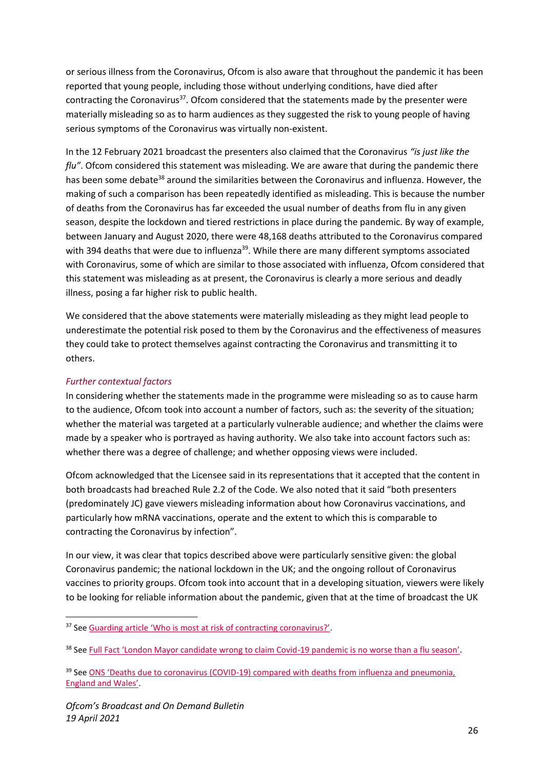or serious illness from the Coronavirus, Ofcom is also aware that throughout the pandemic it has been reported that young people, including those without underlying conditions, have died after contracting the Coronavirus<sup>37</sup>. Ofcom considered that the statements made by the presenter were materially misleading so as to harm audiences as they suggested the risk to young people of having serious symptoms of the Coronavirus was virtually non-existent.

In the 12 February 2021 broadcast the presenters also claimed that the Coronavirus *"is just like the flu"*. Ofcom considered this statement was misleading. We are aware that during the pandemic there has been some debate<sup>38</sup> around the similarities between the Coronavirus and influenza. However, the making of such a comparison has been repeatedly identified as misleading. This is because the number of deaths from the Coronavirus has far exceeded the usual number of deaths from flu in any given season, despite the lockdown and tiered restrictions in place during the pandemic. By way of example, between January and August 2020, there were 48,168 deaths attributed to the Coronavirus compared with 394 deaths that were due to influenza<sup>39</sup>. While there are many different symptoms associated with Coronavirus, some of which are similar to those associated with influenza, Ofcom considered that this statement was misleading as at present, the Coronavirus is clearly a more serious and deadly illness, posing a far higher risk to public health.

We considered that the above statements were materially misleading as they might lead people to underestimate the potential risk posed to them by the Coronavirus and the effectiveness of measures they could take to protect themselves against contracting the Coronavirus and transmitting it to others.

# *Further contextual factors*

In considering whether the statements made in the programme were misleading so as to cause harm to the audience, Ofcom took into account a number of factors, such as: the severity of the situation; whether the material was targeted at a particularly vulnerable audience; and whether the claims were made by a speaker who is portrayed as having authority. We also take into account factors such as: whether there was a degree of challenge; and whether opposing views were included.

Ofcom acknowledged that the Licensee said in its representations that it accepted that the content in both broadcasts had breached Rule 2.2 of the Code. We also noted that it said "both presenters (predominately JC) gave viewers misleading information about how Coronavirus vaccinations, and particularly how mRNA vaccinations, operate and the extent to which this is comparable to contracting the Coronavirus by infection".

In our view, it was clear that topics described above were particularly sensitive given: the global Coronavirus pandemic; the national lockdown in the UK; and the ongoing rollout of Coronavirus vaccines to priority groups. Ofcom took into account that in a developing situation, viewers were likely to be looking for reliable information about the pandemic, given that at the time of broadcast the UK

<sup>&</sup>lt;sup>37</sup> See Guarding arti[cle 'Who is most at risk of contracting coronavirus?'](https://www.theguardian.com/world/2020/feb/21/who-is-most-at-risk-of-contracting-coronavirus).

<sup>&</sup>lt;sup>38</sup> See [Full Fact 'London Mayor candidate wrong to claim Covid](https://fullfact.org/health/coronavirus-flu-season-david-kurten/)-19 pandemic is no worse than a flu season'.

<sup>&</sup>lt;sup>39</sup> See ONS 'Deaths due to coronavirus (COVID-19) compared with deaths from influenza and pneumonia, [England and Wales'](https://www.ons.gov.uk/peoplepopulationandcommunity/birthsdeathsandmarriages/deaths/bulletins/deathsduetocoronaviruscovid19comparedwithdeathsfrominfluenzaandpneumoniaenglandandwales/deathsoccurringbetween1januaryand31august2020).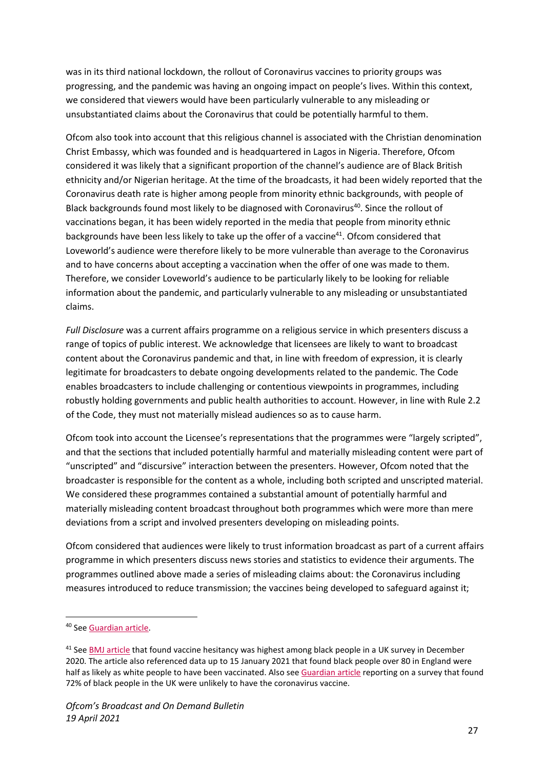was in its third national lockdown, the rollout of Coronavirus vaccines to priority groups was progressing, and the pandemic was having an ongoing impact on people's lives. Within this context, we considered that viewers would have been particularly vulnerable to any misleading or unsubstantiated claims about the Coronavirus that could be potentially harmful to them.

Ofcom also took into account that this religious channel is associated with the Christian denomination Christ Embassy, which was founded and is headquartered in Lagos in Nigeria. Therefore, Ofcom considered it was likely that a significant proportion of the channel's audience are of Black British ethnicity and/or Nigerian heritage. At the time of the broadcasts, it had been widely reported that the Coronavirus death rate is higher among people from minority ethnic backgrounds, with people of Black backgrounds found most likely to be diagnosed with Coronavirus<sup>40</sup>. Since the rollout of vaccinations began, it has been widely reported in the media that people from minority ethnic backgrounds have been less likely to take up the offer of a vaccine<sup>41</sup>. Ofcom considered that Loveworld's audience were therefore likely to be more vulnerable than average to the Coronavirus and to have concerns about accepting a vaccination when the offer of one was made to them. Therefore, we consider Loveworld's audience to be particularly likely to be looking for reliable information about the pandemic, and particularly vulnerable to any misleading or unsubstantiated claims.

*Full Disclosure* was a current affairs programme on a religious service in which presenters discuss a range of topics of public interest. We acknowledge that licensees are likely to want to broadcast content about the Coronavirus pandemic and that, in line with freedom of expression, it is clearly legitimate for broadcasters to debate ongoing developments related to the pandemic. The Code enables broadcasters to include challenging or contentious viewpoints in programmes, including robustly holding governments and public health authorities to account. However, in line with Rule 2.2 of the Code, they must not materially mislead audiences so as to cause harm.

Ofcom took into account the Licensee's representations that the programmes were "largely scripted", and that the sections that included potentially harmful and materially misleading content were part of "unscripted" and "discursive" interaction between the presenters. However, Ofcom noted that the broadcaster is responsible for the content as a whole, including both scripted and unscripted material. We considered these programmes contained a substantial amount of potentially harmful and materially misleading content broadcast throughout both programmes which were more than mere deviations from a script and involved presenters developing on misleading points.

Ofcom considered that audiences were likely to trust information broadcast as part of a current affairs programme in which presenters discuss news stories and statistics to evidence their arguments. The programmes outlined above made a series of misleading claims about: the Coronavirus including measures introduced to reduce transmission; the vaccines being developed to safeguard against it;

<sup>40</sup> Se[e Guardian article.](https://www.theguardian.com/world/2020/jun/02/covid-19-death-rate-in-england-higher-among-bame-people)

<sup>&</sup>lt;sup>41</sup> Se[e BMJ article](https://www.bmj.com/content/372/bmj.n513) that found vaccine hesitancy was highest among black people in a UK survey in December 2020. The article also referenced data up to 15 January 2021 that found black people over 80 in England were half as likely as white people to have been vaccinated. Also see [Guardian article](https://www.theguardian.com/world/2021/jan/16/covid-vaccine-black-people-unlikely-covid-jab-uk) reporting on a survey that found 72% of black people in the UK were unlikely to have the coronavirus vaccine.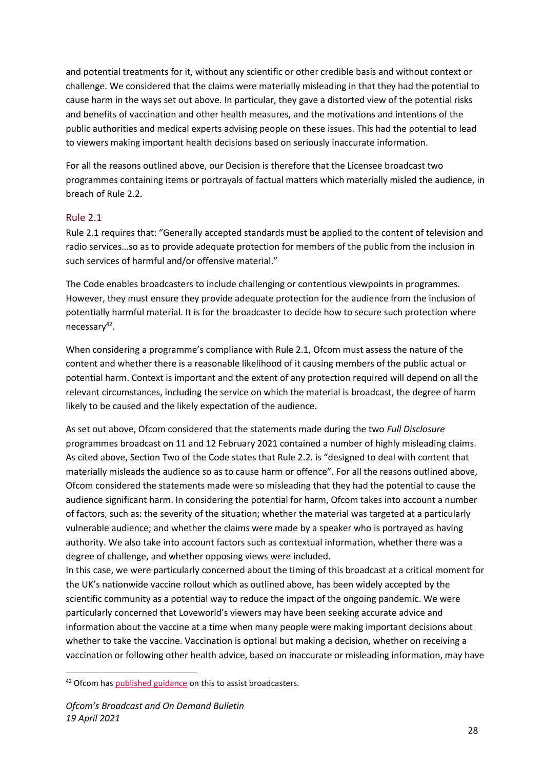and potential treatments for it, without any scientific or other credible basis and without context or challenge. We considered that the claims were materially misleading in that they had the potential to cause harm in the ways set out above. In particular, they gave a distorted view of the potential risks and benefits of vaccination and other health measures, and the motivations and intentions of the public authorities and medical experts advising people on these issues. This had the potential to lead to viewers making important health decisions based on seriously inaccurate information.

For all the reasons outlined above, our Decision is therefore that the Licensee broadcast two programmes containing items or portrayals of factual matters which materially misled the audience, in breach of Rule 2.2.

# Rule 2.1

Rule 2.1 requires that: "Generally accepted standards must be applied to the content of television and radio services…so as to provide adequate protection for members of the public from the inclusion in such services of harmful and/or offensive material."

The Code enables broadcasters to include challenging or contentious viewpoints in programmes. However, they must ensure they provide adequate protection for the audience from the inclusion of potentially harmful material. It is for the broadcaster to decide how to secure such protection where necessary<sup>42</sup>.

When considering a programme's compliance with Rule 2.1, Ofcom must assess the nature of the content and whether there is a reasonable likelihood of it causing members of the public actual or potential harm. Context is important and the extent of any protection required will depend on all the relevant circumstances, including the service on which the material is broadcast, the degree of harm likely to be caused and the likely expectation of the audience.

As set out above, Ofcom considered that the statements made during the two *Full Disclosure* programmes broadcast on 11 and 12 February 2021 contained a number of highly misleading claims. As cited above, Section Two of the Code states that Rule 2.2. is "designed to deal with content that materially misleads the audience so as to cause harm or offence". For all the reasons outlined above, Ofcom considered the statements made were so misleading that they had the potential to cause the audience significant harm. In considering the potential for harm, Ofcom takes into account a number of factors, such as: the severity of the situation; whether the material was targeted at a particularly vulnerable audience; and whether the claims were made by a speaker who is portrayed as having authority. We also take into account factors such as contextual information, whether there was a degree of challenge, and whether opposing views were included.

In this case, we were particularly concerned about the timing of this broadcast at a critical moment for the UK's nationwide vaccine rollout which as outlined above, has been widely accepted by the scientific community as a potential way to reduce the impact of the ongoing pandemic. We were particularly concerned that Loveworld's viewers may have been seeking accurate advice and information about the vaccine at a time when many people were making important decisions about whether to take the vaccine. Vaccination is optional but making a decision, whether on receiving a vaccination or following other health advice, based on inaccurate or misleading information, may have

<sup>&</sup>lt;sup>42</sup> Ofcom has [published guidance](https://www.ofcom.org.uk/__data/assets/pdf_file/0023/104657/Section-2-Guidance-Notes.pdf) on this to assist broadcasters.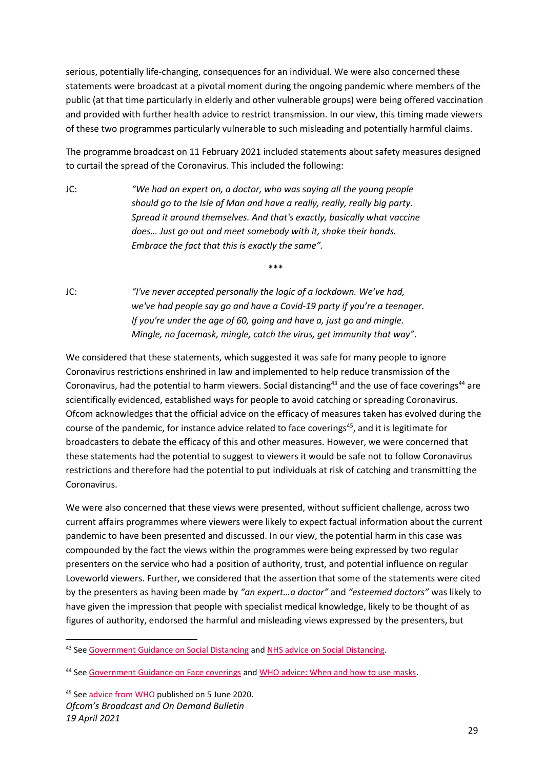serious, potentially life-changing, consequences for an individual. We were also concerned these statements were broadcast at a pivotal moment during the ongoing pandemic where members of the public (at that time particularly in elderly and other vulnerable groups) were being offered vaccination and provided with further health advice to restrict transmission. In our view, this timing made viewers of these two programmes particularly vulnerable to such misleading and potentially harmful claims.

The programme broadcast on 11 February 2021 included statements about safety measures designed to curtail the spread of the Coronavirus. This included the following:

\*\*\*

JC: *"We had an expert on, a doctor, who was saying all the young people should go to the Isle of Man and have a really, really, really big party. Spread it around themselves. And that's exactly, basically what vaccine does… Just go out and meet somebody with it, shake their hands. Embrace the fact that this is exactly the same".*

JC: *"I've never accepted personally the logic of a lockdown. We've had, we've had people say go and have a Covid-19 party if you're a teenager. If you're under the age of 60, going and have a, just go and mingle. Mingle, no facemask, mingle, catch the virus, get immunity that way".*

We considered that these statements, which suggested it was safe for many people to ignore Coronavirus restrictions enshrined in law and implemented to help reduce transmission of the Coronavirus, had the potential to harm viewers. Social distancing<sup>43</sup> and the use of face coverings<sup>44</sup> are scientifically evidenced, established ways for people to avoid catching or spreading Coronavirus. Ofcom acknowledges that the official advice on the efficacy of measures taken has evolved during the course of the pandemic, for instance advice related to face coverings<sup>45</sup>, and it is legitimate for broadcasters to debate the efficacy of this and other measures. However, we were concerned that these statements had the potential to suggest to viewers it would be safe not to follow Coronavirus restrictions and therefore had the potential to put individuals at risk of catching and transmitting the Coronavirus.

We were also concerned that these views were presented, without sufficient challenge, across two current affairs programmes where viewers were likely to expect factual information about the current pandemic to have been presented and discussed. In our view, the potential harm in this case was compounded by the fact the views within the programmes were being expressed by two regular presenters on the service who had a position of authority, trust, and potential influence on regular Loveworld viewers. Further, we considered that the assertion that some of the statements were cited by the presenters as having been made by *"an expert…a doctor"* and *"esteemed doctors"* was likely to have given the impression that people with specialist medical knowledge, likely to be thought of as figures of authority, endorsed the harmful and misleading views expressed by the presenters, but

<sup>43</sup> Se[e Government Guidance on Social Distancing](https://www.gov.uk/government/publications/coronavirus-covid-19-meeting-with-others-safely-social-distancing/coronavirus-covid-19-meeting-with-others-safely-social-distancing) an[d NHS advice on Social Distancing.](https://www.nhs.uk/conditions/coronavirus-covid-19/social-distancing/what-you-need-to-do/)

<sup>44</sup> Se[e Government Guidance on Face coverings](https://www.gov.uk/government/publications/face-coverings-when-to-wear-one-and-how-to-make-your-own/face-coverings-when-to-wear-one-and-how-to-make-your-own) and [WHO advice: When and how to use masks.](https://www.who.int/emergencies/diseases/novel-coronavirus-2019/advice-for-public/when-and-how-to-use-masks)

*Ofcom's Broadcast and On Demand Bulletin 19 April 2021* <sup>45</sup> Se[e advice from WHO](https://www.who.int/publications/i/item/advice-on-the-use-of-masks-in-the-community-during-home-care-and-in-healthcare-settings-in-the-context-of-the-novel-coronavirus-(2019-ncov)-outbreak) published on 5 June 2020.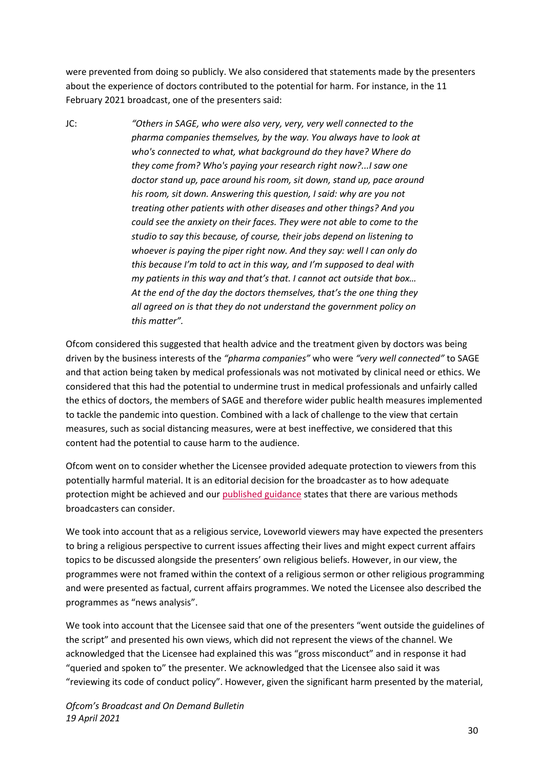were prevented from doing so publicly. We also considered that statements made by the presenters about the experience of doctors contributed to the potential for harm. For instance, in the 11 February 2021 broadcast, one of the presenters said:

JC: *"Others in SAGE, who were also very, very, very well connected to the pharma companies themselves, by the way. You always have to look at who's connected to what, what background do they have? Where do they come from? Who's paying your research right now?...I saw one doctor stand up, pace around his room, sit down, stand up, pace around his room, sit down. Answering this question, I said: why are you not treating other patients with other diseases and other things? And you could see the anxiety on their faces. They were not able to come to the studio to say this because, of course, their jobs depend on listening to whoever is paying the piper right now. And they say: well I can only do this because I'm told to act in this way, and I'm supposed to deal with my patients in this way and that's that. I cannot act outside that box… At the end of the day the doctors themselves, that's the one thing they all agreed on is that they do not understand the government policy on this matter".*

Ofcom considered this suggested that health advice and the treatment given by doctors was being driven by the business interests of the *"pharma companies"* who were *"very well connected"* to SAGE and that action being taken by medical professionals was not motivated by clinical need or ethics. We considered that this had the potential to undermine trust in medical professionals and unfairly called the ethics of doctors, the members of SAGE and therefore wider public health measures implemented to tackle the pandemic into question. Combined with a lack of challenge to the view that certain measures, such as social distancing measures, were at best ineffective, we considered that this content had the potential to cause harm to the audience.

Ofcom went on to consider whether the Licensee provided adequate protection to viewers from this potentially harmful material. It is an editorial decision for the broadcaster as to how adequate protection might be achieved and our [published guidance](https://www.ofcom.org.uk/__data/assets/pdf_file/0023/104657/Section-2-Guidance-Notes.pdf) states that there are various methods broadcasters can consider.

We took into account that as a religious service, Loveworld viewers may have expected the presenters to bring a religious perspective to current issues affecting their lives and might expect current affairs topics to be discussed alongside the presenters' own religious beliefs. However, in our view, the programmes were not framed within the context of a religious sermon or other religious programming and were presented as factual, current affairs programmes. We noted the Licensee also described the programmes as "news analysis".

We took into account that the Licensee said that one of the presenters "went outside the guidelines of the script" and presented his own views, which did not represent the views of the channel. We acknowledged that the Licensee had explained this was "gross misconduct" and in response it had "queried and spoken to" the presenter. We acknowledged that the Licensee also said it was "reviewing its code of conduct policy". However, given the significant harm presented by the material,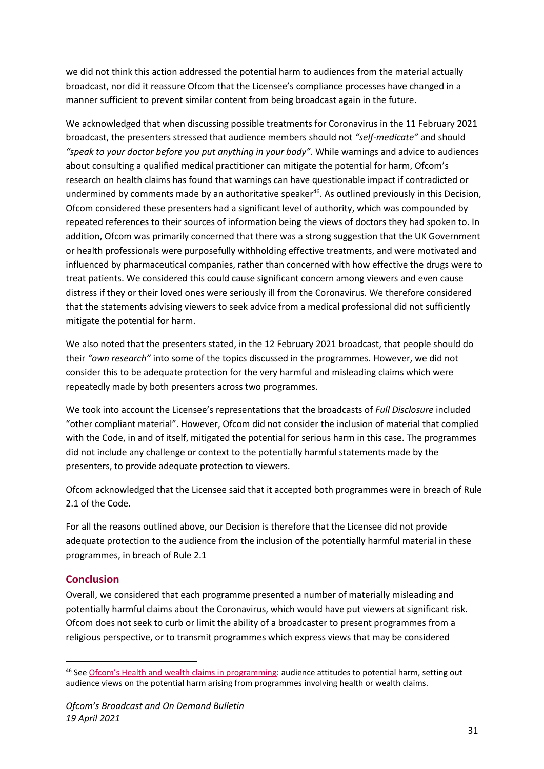we did not think this action addressed the potential harm to audiences from the material actually broadcast, nor did it reassure Ofcom that the Licensee's compliance processes have changed in a manner sufficient to prevent similar content from being broadcast again in the future.

We acknowledged that when discussing possible treatments for Coronavirus in the 11 February 2021 broadcast, the presenters stressed that audience members should not *"self-medicate"* and should *"speak to your doctor before you put anything in your body"*. While warnings and advice to audiences about consulting a qualified medical practitioner can mitigate the potential for harm, Ofcom's research on health claims has found that warnings can have questionable impact if contradicted or undermined by comments made by an authoritative speaker<sup>46</sup>. As outlined previously in this Decision, Ofcom considered these presenters had a significant level of authority, which was compounded by repeated references to their sources of information being the views of doctors they had spoken to. In addition, Ofcom was primarily concerned that there was a strong suggestion that the UK Government or health professionals were purposefully withholding effective treatments, and were motivated and influenced by pharmaceutical companies, rather than concerned with how effective the drugs were to treat patients. We considered this could cause significant concern among viewers and even cause distress if they or their loved ones were seriously ill from the Coronavirus. We therefore considered that the statements advising viewers to seek advice from a medical professional did not sufficiently mitigate the potential for harm.

We also noted that the presenters stated, in the 12 February 2021 broadcast, that people should do their *"own research"* into some of the topics discussed in the programmes. However, we did not consider this to be adequate protection for the very harmful and misleading claims which were repeatedly made by both presenters across two programmes.

We took into account the Licensee's representations that the broadcasts of *Full Disclosure* included "other compliant material". However, Ofcom did not consider the inclusion of material that complied with the Code, in and of itself, mitigated the potential for serious harm in this case. The programmes did not include any challenge or context to the potentially harmful statements made by the presenters, to provide adequate protection to viewers.

Ofcom acknowledged that the Licensee said that it accepted both programmes were in breach of Rule 2.1 of the Code.

For all the reasons outlined above, our Decision is therefore that the Licensee did not provide adequate protection to the audience from the inclusion of the potentially harmful material in these programmes, in breach of Rule 2.1

# **Conclusion**

Overall, we considered that each programme presented a number of materially misleading and potentially harmful claims about the Coronavirus, which would have put viewers at significant risk. Ofcom does not seek to curb or limit the ability of a broadcaster to present programmes from a religious perspective, or to transmit programmes which express views that may be considered

<sup>46</sup> See [Ofcom's Health and wealth claims in programming](https://www.ofcom.org.uk/__data/assets/pdf_file/0016/104650/Health-claims-report.pdf): audience attitudes to potential harm, setting out audience views on the potential harm arising from programmes involving health or wealth claims.